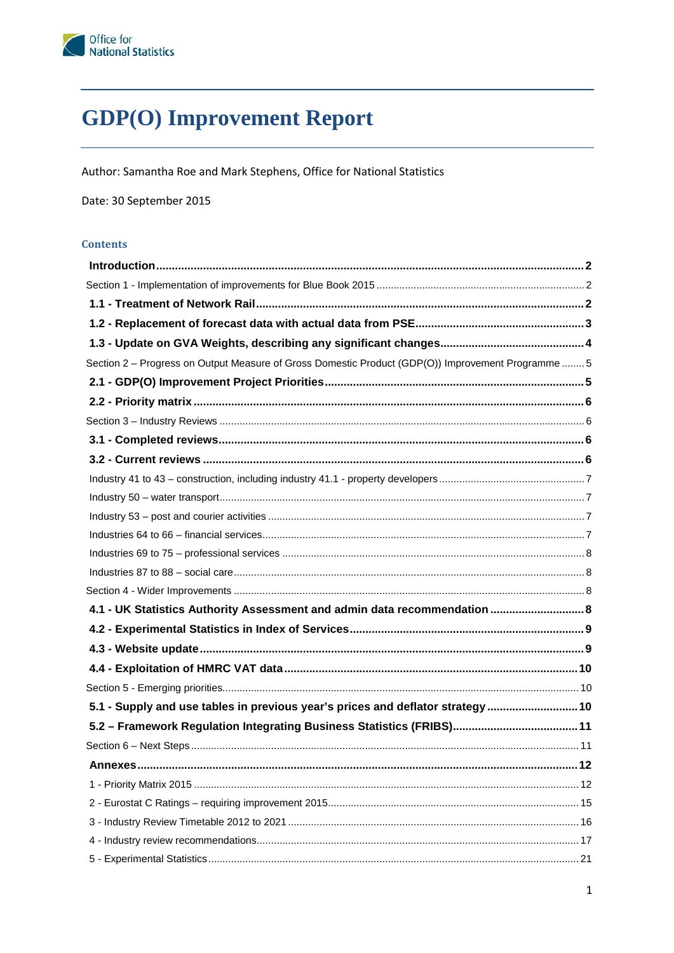# **GDP(O)** Improvement Report

Author: Samantha Roe and Mark Stephens, Office for National Statistics

Date: 30 September 2015

#### **Contents**

| Section 2 - Progress on Output Measure of Gross Domestic Product (GDP(O)) Improvement Programme  5 |    |
|----------------------------------------------------------------------------------------------------|----|
|                                                                                                    |    |
|                                                                                                    |    |
|                                                                                                    |    |
|                                                                                                    |    |
|                                                                                                    |    |
|                                                                                                    |    |
|                                                                                                    |    |
|                                                                                                    |    |
|                                                                                                    |    |
|                                                                                                    |    |
|                                                                                                    |    |
|                                                                                                    |    |
| 4.1 - UK Statistics Authority Assessment and admin data recommendation  8                          |    |
|                                                                                                    |    |
|                                                                                                    |    |
|                                                                                                    |    |
|                                                                                                    |    |
| 5.1 - Supply and use tables in previous year's prices and deflator strategy  10                    |    |
|                                                                                                    |    |
|                                                                                                    |    |
| <b>Annexes</b>                                                                                     | 12 |
|                                                                                                    |    |
|                                                                                                    |    |
|                                                                                                    |    |
|                                                                                                    |    |
|                                                                                                    |    |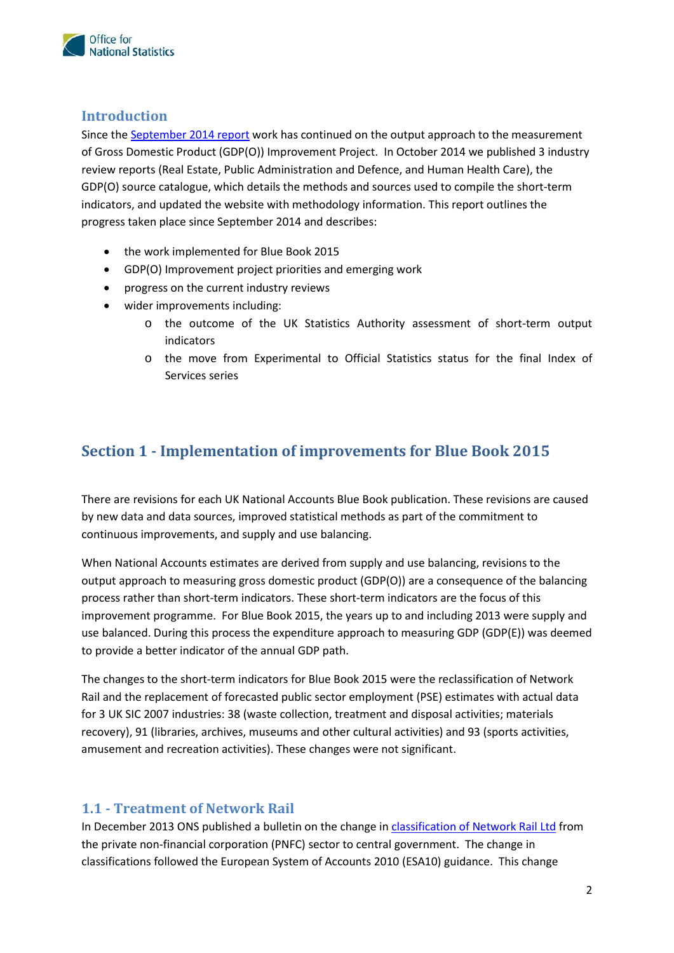

### <span id="page-1-0"></span>**Introduction**

Since the **September 2014 report** work has continued on the output approach to the measurement of Gross Domestic Product (GDP(O)) Improvement Project. In October 2014 we published 3 industry GDP(O) source catalogue, which details the methods and sources used to compile the short-term indicators, and updated the website with methodology information. This report outlines the progress taken place since September 2014 and describes: review reports (Real Estate, Public Administration and Defence, and Human Health Care), the

- the work implemented for Blue Book 2015
- • GDP(O) Improvement project priorities and emerging work
- • progress on the current industry reviews
- wider improvements including:
	- o the outcome of the UK Statistics Authority assessment of short-term output indicators
	- o the move from Experimental to Official Statistics status for the final Index of Services series

### <span id="page-1-1"></span>**Section 1 - Implementation of improvements for Blue Book 2015**

There are revisions for each UK National Accounts Blue Book publication. These revisions are caused by new data and data sources, improved statistical methods as part of the commitment to continuous improvements, and supply and use balancing.

 output approach to measuring gross domestic product (GDP(O)) are a consequence of the balancing improvement programme. For Blue Book 2015, the years up to and including 2013 were supply and to provide a better indicator of the annual GDP path. When National Accounts estimates are derived from supply and use balancing, revisions to the process rather than short-term indicators. These short-term indicators are the focus of this use balanced. During this process the expenditure approach to measuring GDP (GDP(E)) was deemed

to provide a better indicator of the annual GDP path.<br>The changes to the short-term indicators for Blue Book 2015 were the reclassification of Network for 3 UK SIC 2007 industries: 38 (waste collection, treatment and disposal activities; materials recovery), 91 (libraries, archives, museums and other cultural activities) and 93 (sports activities, amusement and recreation activities). These changes were not significant. Rail and the replacement of forecasted public sector employment (PSE) estimates with actual data

### <span id="page-1-2"></span>**1.1 - Treatment of Network Rail**

In December 2013 ONS published a bulletin on the change in [classification of Network Rail Ltd f](http://www.ons.gov.uk/ons/dcp171766_345415.pdf)rom classifications followed the European System of Accounts 2010 (ESA10) guidance. This change the private non-financial corporation (PNFC) sector to central government. The change in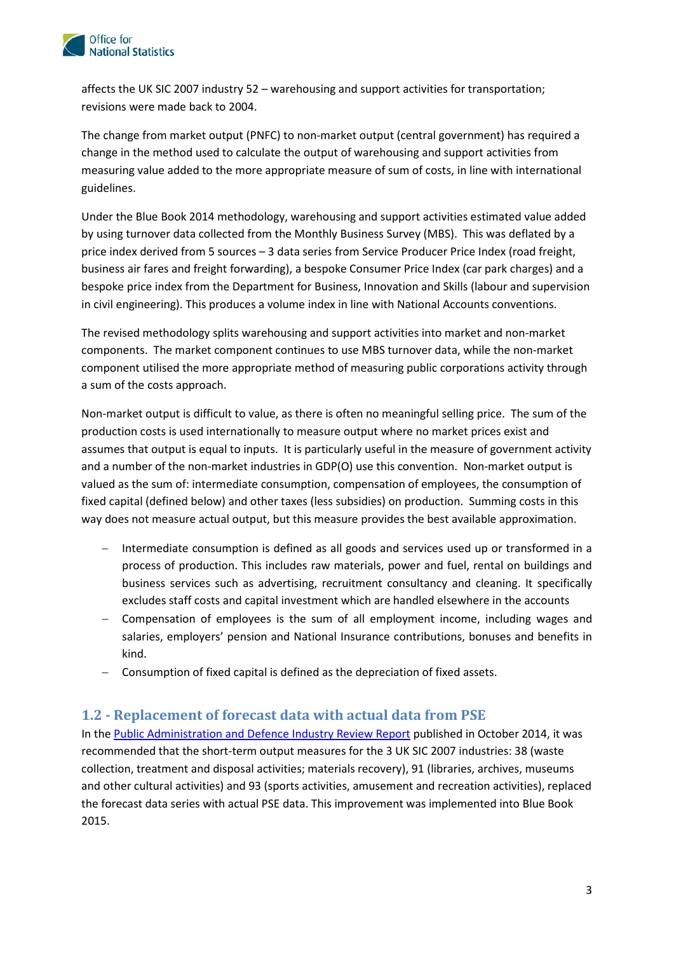

affects the UK SIC 2007 industry 52 – warehousing and support activities for transportation; revisions were made back to 2004.

 measuring value added to the more appropriate measure of sum of costs, in line with international The change from market output (PNFC) to non-market output (central government) has required a change in the method used to calculate the output of warehousing and support activities from guidelines.

 Under the Blue Book 2014 methodology, warehousing and support activities estimated value added by using turnover data collected from the Monthly Business Survey (MBS). This was deflated by a price index derived from 5 sources – 3 data series from Service Producer Price Index (road freight, business air fares and freight forwarding), a bespoke Consumer Price Index (car park charges) and a bespoke price index from the Department for Business, Innovation and Skills (labour and supervision in civil engineering). This produces a volume index in line with National Accounts conventions.

 component utilised the more appropriate method of measuring public corporations activity through a sum of the costs approach. The revised methodology splits warehousing and support activities into market and non-market components. The market component continues to use MBS turnover data, while the non-market

 Non-market output is difficult to value, as there is often no meaningful selling price. The sum of the production costs is used internationally to measure output where no market prices exist and assumes that output is equal to inputs. It is particularly useful in the measure of government activity and a number of the non-market industries in GDP(O) use this convention. Non-market output is fixed capital (defined below) and other taxes (less subsidies) on production. Summing costs in this valued as the sum of: intermediate consumption, compensation of employees, the consumption of way does not measure actual output, but this measure provides the best available approximation.

- − Intermediate consumption is defined as all goods and services used up or transformed in a process of production. This includes raw materials, power and fuel, rental on buildings and business services such as advertising, recruitment consultancy and cleaning. It specifically excludes staff costs and capital investment which are handled elsewhere in the accounts
- − Compensation of employees is the sum of all employment income, including wages and salaries, employers' pension and National Insurance contributions, bonuses and benefits in kind.
- − Consumption of fixed capital is defined as the depreciation of fixed assets.

#### <span id="page-2-0"></span>**1.2 - Replacement of forecast data with actual data from PSE**

In the **Public Administration and Defence Industry Review Report** published in October 2014, it was recommended that the short-term output measures for the 3 UK SIC 2007 industries: 38 (waste collection, treatment and disposal activities; materials recovery), 91 (libraries, archives, museums the forecast data series with actual PSE data. This improvement was implemented into Blue Book and other cultural activities) and 93 (sports activities, amusement and recreation activities), replaced 2015.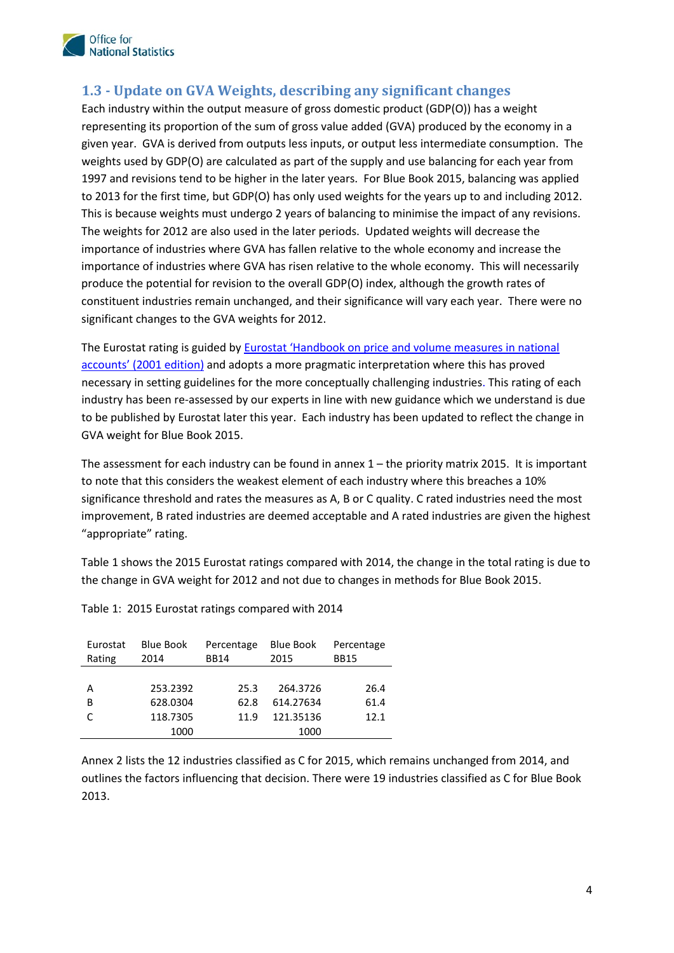

### <span id="page-3-0"></span>**1.3 - Update on GVA Weights, describing any significant changes**

 representing its proportion of the sum of gross value added (GVA) produced by the economy in a given year. GVA is derived from outputs less inputs, or output less intermediate consumption. The weights used by GDP(O) are calculated as part of the supply and use balancing for each year from 1997 and revisions tend to be higher in the later years. For Blue Book 2015, balancing was applied to 2013 for the first time, but GDP(O) has only used weights for the years up to and including 2012. to 2013 for the first time, but GDP(O) has only used weights for the years up to and including 2012.<br>This is because weights must undergo 2 years of balancing to minimise the impact of any revisions. The weights for 2012 are also used in the later periods. Updated weights will decrease the importance of industries where GVA has fallen relative to the whole economy and increase the constituent industries remain unchanged, and their significance will vary each year. There were no significant changes to the GVA weights for 2012. Each industry within the output measure of gross domestic product (GDP(O)) has a weight importance of industries where GVA has risen relative to the whole economy. This will necessarily produce the potential for revision to the overall GDP(O) index, although the growth rates of

[accounts' \(2001 edition\)](http://unstats.un.org/unsd/EconStatKB/KnowledgebaseArticle10407.aspx) and adopts a more pragmatic interpretation where this has proved necessary in setting guidelines for the more conceptually challenging industries. This rating of each industry has been re-assessed by our experts in line with new guidance which we understand is due to be published by Eurostat later this year. Each industry has been updated to reflect the change in GVA weight for Blue Book 2015. The Eurostat rating is guided by **Eurostat 'Handbook on price and volume measures in national** 

GVA weight for Blue Book 2015.<br>The assessment for each industry can be found in annex 1 – the priority matrix 2015. It is important to note that this considers the weakest element of each industry where this breaches a 10% significance threshold and rates the measures as A, B or C quality. C rated industries need the most improvement, B rated industries are deemed acceptable and A rated industries are given the highest "appropriate" rating.

 Table 1 shows the 2015 Eurostat ratings compared with 2014, the change in the total rating is due to the change in GVA weight for 2012 and not due to changes in methods for Blue Book 2015.

| Eurostat<br>Rating | <b>Blue Book</b><br>2014 | Percentage<br><b>BB14</b> | <b>Blue Book</b><br>2015 | Percentage<br><b>BB15</b> |
|--------------------|--------------------------|---------------------------|--------------------------|---------------------------|
|                    |                          |                           |                          |                           |
| А                  | 253.2392                 | 25.3                      | 264.3726                 | 26.4                      |
| В                  | 628.0304                 | 62.8                      | 614.27634                | 61.4                      |
|                    | 118.7305                 | 11.9                      | 121.35136                | 12.1                      |
|                    | 1000                     |                           | 1000                     |                           |

Table 1: 2015 Eurostat ratings compared with 2014

Annex 2 lists the 12 industries classified as C for 2015, which remains unchanged from 2014, and outlines the factors influencing that decision. There were 19 industries classified as C for Blue Book 2013.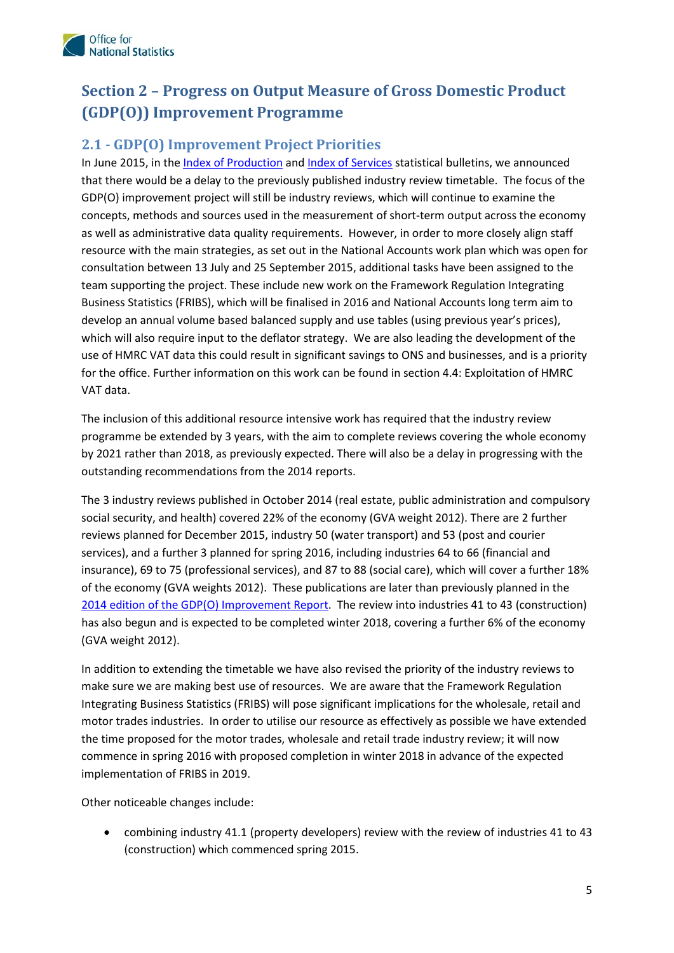

# <span id="page-4-0"></span>**Section 2 – Progress on Output Measure of Gross Domestic Product (GDP(O)) Improvement Programme**

### <span id="page-4-1"></span>**2.1 - GDP(O) Improvement Project Priorities**

 that there would be a delay to the previously published industry review timetable. The focus of the GDP(O) improvement project will still be industry reviews, which will continue to examine the as well as administrative data quality requirements. However, in order to more closely align staff resource with the main strategies, as set out in the National Accounts work plan which was open for consultation between 13 July and 25 September 2015, additional tasks have been assigned to the team supporting the project. These include new work on the Framework Regulation Integrating Business Statistics (FRIBS), which will be finalised in 2016 and National Accounts long term aim to which will also require input to the deflator strategy. We are also leading the development of the use of HMRC VAT data this could result in significant savings to ONS and businesses, and is a priority In June 2015, in the [Index of Production](http://www.ons.gov.uk/ons/rel/iop/index-of-production/index.html) an[d Index of Services](http://www.ons.gov.uk/ons/rel/ios/index-of-services/index.html) statistical bulletins, we announced concepts, methods and sources used in the measurement of short-term output across the economy develop an annual volume based balanced supply and use tables (using previous year's prices), for the office. Further information on this work can be found in section 4.4: Exploitation of HMRC VAT data.

 by 2021 rather than 2018, as previously expected. There will also be a delay in progressing with the The inclusion of this additional resource intensive work has required that the industry review programme be extended by 3 years, with the aim to complete reviews covering the whole economy outstanding recommendations from the 2014 reports.

 reviews planned for December 2015, industry 50 (water transport) and 53 (post and courier services), and a further 3 planned for spring 2016, including industries 64 to 66 (financial and insurance), 69 to 75 (professional services), and 87 to 88 (social care), which will cover a further 18% has also begun and is expected to be completed winter 2018, covering a further 6% of the economy The 3 industry reviews published in October 2014 (real estate, public administration and compulsory social security, and health) covered 22% of the economy (GVA weight 2012). There are 2 further of the economy (GVA weights 2012). These publications are later than previously planned in the [2014 edition of the GDP\(O\) Improvement Report.](http://www.ons.gov.uk/ons/rel/naa1-rd/national-accounts-articles/improvements-to-the-output-approach-to-measuring-gdp/index.html) The review into industries 41 to 43 (construction) (GVA weight 2012).

 make sure we are making best use of resources. We are aware that the Framework Regulation Integrating Business Statistics (FRIBS) will pose significant implications for the wholesale, retail and motor trades industries. In order to utilise our resource as effectively as possible we have extended the time proposed for the motor trades, wholesale and retail trade industry review; it will now implementation of FRIBS in 2019. In addition to extending the timetable we have also revised the priority of the industry reviews to commence in spring 2016 with proposed completion in winter 2018 in advance of the expected

Other noticeable changes include:

 (construction) which commenced spring 2015. combining industry 41.1 (property developers) review with the review of industries 41 to 43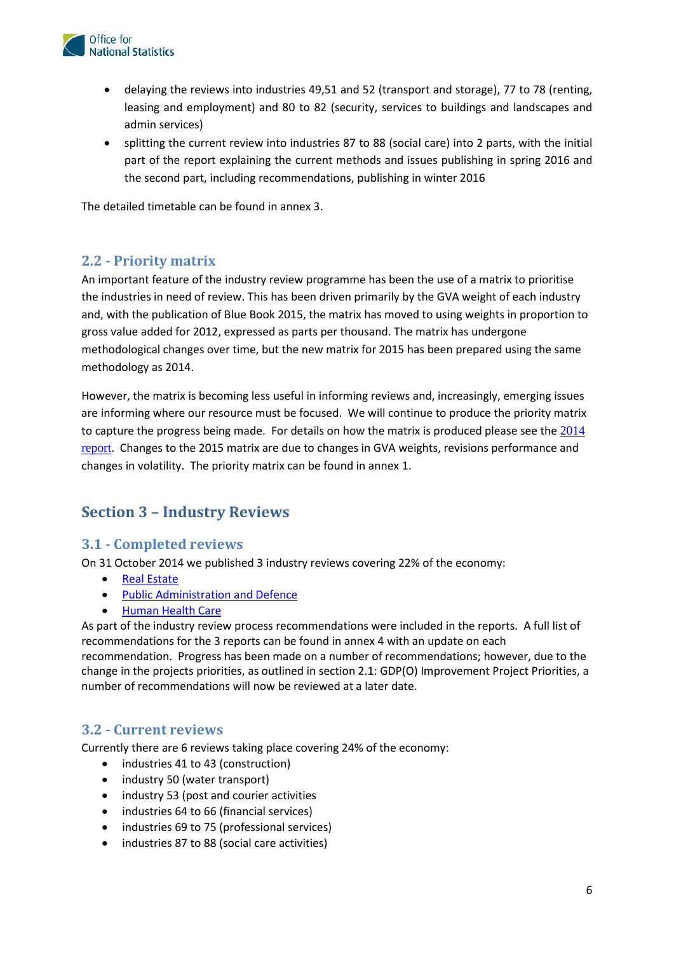

- • delaying the reviews into industries 49,51 and 52 (transport and storage), 77 to 78 (renting, admin services) leasing and employment) and 80 to 82 (security, services to buildings and landscapes and
- the second part, including recommendations, publishing in winter 2016 • splitting the current review into industries 87 to 88 (social care) into 2 parts, with the initial part of the report explaining the current methods and issues publishing in spring 2016 and

The detailed timetable can be found in annex 3.

### <span id="page-5-0"></span>**2.2 - Priority matrix**

 An important feature of the industry review programme has been the use of a matrix to prioritise the industries in need of review. This has been driven primarily by the GVA weight of each industry methodological changes over time, but the new matrix for 2015 has been prepared using the same and, with the publication of Blue Book 2015, the matrix has moved to using weights in proportion to gross value added for 2012, expressed as parts per thousand. The matrix has undergone methodology as 2014.

 are informing where our resource must be focused. We will continue to produce the priority matrix [report](http://www.ons.gov.uk/ons/rel/naa1-rd/national-accounts-articles/improvements-to-the-output-approach-to-measuring-gdp/index.html). Changes to the 2015 matrix are due to changes in GVA weights, revisions performance and changes in volatility. The priority matrix can be found in annex 1. However, the matrix is becoming less useful in informing reviews and, increasingly, emerging issues to capture the progress being made. For details on how the matrix is produced please see the [2014](http://www.ons.gov.uk/ons/rel/naa1-rd/national-accounts-articles/improvements-to-the-output-approach-to-measuring-gdp/index.html) 

### <span id="page-5-1"></span>**Section 3 – Industry Reviews**

#### <span id="page-5-2"></span>**3.1 - Completed reviews**

On 31 October 2014 we published 3 industry reviews covering 22% of the economy:

- • [Real Estate](http://www.ons.gov.uk/ons/rel/naa1-rd/national-accounts-articles/real-estate-activities-industry-review---2014/index.html)
- • [Public Administration and Defence](http://www.ons.gov.uk/ons/rel/naa1-rd/national-accounts-articles/public-administration--defence-and-compulsory-social-security-industry-review---2014/index.html)
- [Human Health Care](http://www.ons.gov.uk/ons/rel/naa1-rd/national-accounts-articles/human-health-activities-industry-review---2014/index.html)

As part of the industry review process recommendations were included in the reports. A full list of recommendations for the 3 reports can be found in annex 4 with an update on each recommendation. Progress has been made on a number of recommendations; however, due to the change in the projects priorities, as outlined in section 2.1: GDP(O) Improvement Project Priorities, a number of recommendations will now be reviewed at a later date.

#### <span id="page-5-3"></span>**3.2 - Current reviews**

Currently there are 6 reviews taking place covering 24% of the economy:

- industries 41 to 43 (construction)
- industry 50 (water transport)
- industry 53 (post and courier activities
- industries 64 to 66 (financial services)
- industries 69 to 75 (professional services)
- • industries 87 to 88 (social care activities)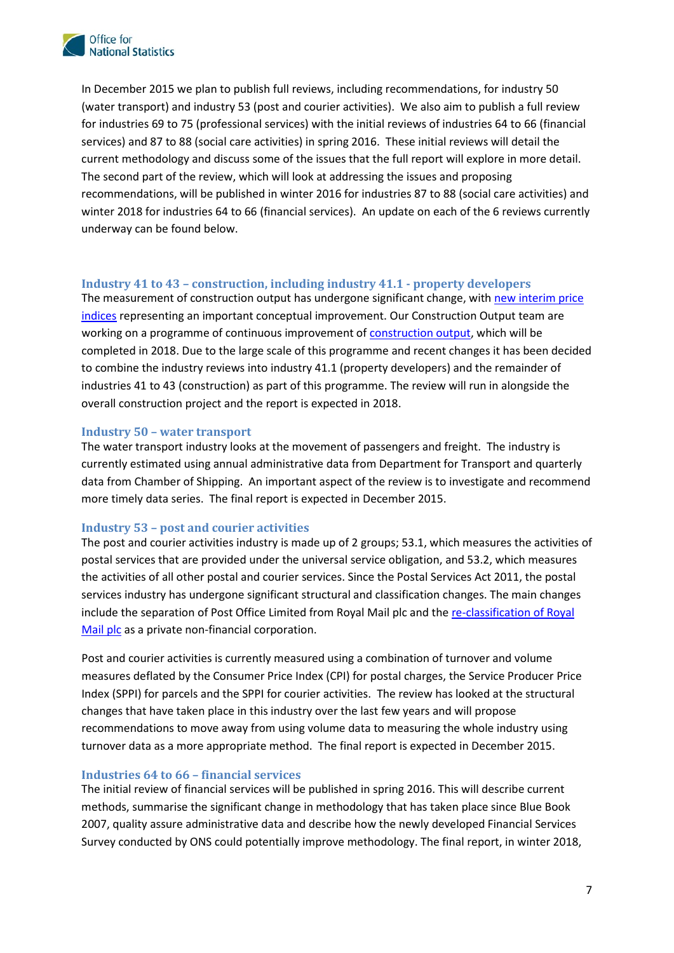

 (water transport) and industry 53 (post and courier activities). We also aim to publish a full review services) and 87 to 88 (social care activities) in spring 2016. These initial reviews will detail the current methodology and discuss some of the issues that the full report will explore in more detail. The second part of the review, which will look at addressing the issues and proposing winter 2018 for industries 64 to 66 (financial services). An update on each of the 6 reviews currently In December 2015 we plan to publish full reviews, including recommendations, for industry 50 for industries 69 to 75 (professional services) with the initial reviews of industries 64 to 66 (financial recommendations, will be published in winter 2016 for industries 87 to 88 (social care activities) and underway can be found below.

#### <span id="page-6-0"></span>**Industry 41 to 43 – construction, including industry 41.1 - property developers**

The measurement of construction output has undergone significant change, with new interim price working on a programme of continuous improvement of **construction output**, which will be completed in 2018. Due to the large scale of this programme and recent changes it has been decided to combine the industry reviews into industry 41.1 (property developers) and the remainder of industries 41 to 43 (construction) as part of this programme. The review will run in alongside the [indices](http://www.ons.gov.uk/ons/rel/ppi2/construction-output-price-indices--opis-/interim-solution--q2-2015/art---opi-q2-2015.html) representing an important conceptual improvement. Our Construction Output team are overall construction project and the report is expected in 2018.

#### <span id="page-6-1"></span>**Industry 50 – water transport**

 The water transport industry looks at the movement of passengers and freight. The industry is data from Chamber of Shipping. An important aspect of the review is to investigate and recommend more timely data series. The final report is expected in December 2015. currently estimated using annual administrative data from Department for Transport and quarterly

#### <span id="page-6-2"></span>**Industry 53 – post and courier activities**

 postal services that are provided under the universal service obligation, and 53.2, which measures The post and courier activities industry is made up of 2 groups; 53.1, which measures the activities of the activities of all other postal and courier services. Since the Postal Services Act 2011, the postal services industry has undergone significant structural and classification changes. The main changes include the separation of Post Office Limited from Royal Mail plc and the [re-classification of Royal](http://www.ons.gov.uk/ons/rel/na-classification/national-accounts-sector-classification/royal-mail-classification-in-national-accounts-following-government-s-sale-of-shares/royal-mail.html)  [Mail plc](http://www.ons.gov.uk/ons/rel/na-classification/national-accounts-sector-classification/royal-mail-classification-in-national-accounts-following-government-s-sale-of-shares/royal-mail.html) as a private non-financial corporation.

 measures deflated by the Consumer Price Index (CPI) for postal charges, the Service Producer Price Index (SPPI) for parcels and the SPPI for courier activities. The review has looked at the structural changes that have taken place in this industry over the last few years and will propose turnover data as a more appropriate method. The final report is expected in December 2015. Post and courier activities is currently measured using a combination of turnover and volume recommendations to move away from using volume data to measuring the whole industry using

#### <span id="page-6-3"></span>**Industries 64 to 66 – financial services**

The initial review of financial services will be published in spring 2016. This will describe current methods, summarise the significant change in methodology that has taken place since Blue Book 2007, quality assure administrative data and describe how the newly developed Financial Services Survey conducted by ONS could potentially improve methodology. The final report, in winter 2018,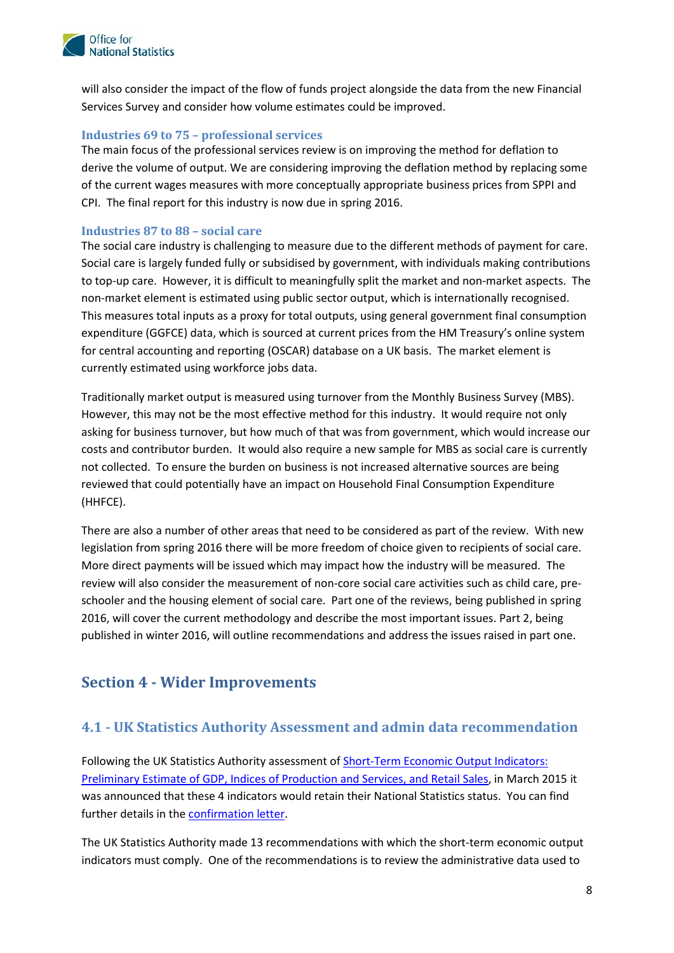

Services Survey and consider how volume estimates could be improved. will also consider the impact of the flow of funds project alongside the data from the new Financial

#### <span id="page-7-0"></span>**Industries 69 to 75 – professional services**

 CPI. The final report for this industry is now due in spring 2016. The main focus of the professional services review is on improving the method for deflation to derive the volume of output. We are considering improving the deflation method by replacing some of the current wages measures with more conceptually appropriate business prices from SPPI and

#### <span id="page-7-1"></span>**Industries 87 to 88 – social care**

The social care industry is challenging to measure due to the different methods of payment for care. non-market element is estimated using public sector output, which is internationally recognised. This measures total inputs as a proxy for total outputs, using general government final consumption for central accounting and reporting (OSCAR) database on a UK basis. The market element is currently estimated using workforce jobs data. Social care is largely funded fully or subsidised by government, with individuals making contributions to top-up care. However, it is difficult to meaningfully split the market and non-market aspects. The expenditure (GGFCE) data, which is sourced at current prices from the HM Treasury's online system

 Traditionally market output is measured using turnover from the Monthly Business Survey (MBS). asking for business turnover, but how much of that was from government, which would increase our costs and contributor burden. It would also require a new sample for MBS as social care is currently reviewed that could potentially have an impact on Household Final Consumption Expenditure (HHFCE). However, this may not be the most effective method for this industry. It would require not only not collected. To ensure the burden on business is not increased alternative sources are being

(HHFCE).<br>There are also a number of other areas that need to be considered as part of the review. With new More direct payments will be issued which may impact how the industry will be measured. The schooler and the housing element of social care. Part one of the reviews, being published in spring 2016, will cover the current methodology and describe the most important issues. Part 2, being published in winter 2016, will outline recommendations and address the issues raised in part one. legislation from spring 2016 there will be more freedom of choice given to recipients of social care. review will also consider the measurement of non-core social care activities such as child care, pre-

### <span id="page-7-2"></span>**Section 4 - Wider Improvements**

### <span id="page-7-3"></span>**4.1 - UK Statistics Authority Assessment and admin data recommendation**

 was announced that these 4 indicators would retain their National Statistics status. You can find further details in th[e confirmation letter.](http://www.statisticsauthority.gov.uk/assessment/assessment/assessment-reports/confirmation-of-designation-letters/letter-of-confirmation-as-national-statistics---assessment-reports-278-and-279.pdf) Following the UK Statistics Authority assessment of [Short-Term Economic Output Indicators:](http://www.statisticsauthority.gov.uk/assessment/assessment/assessment-reports/assessment-report-278---statistics-on-gdp--iop-and-ios.pdf)  [Preliminary Estimate of GDP, Indices of Production and Services, and Retail Sales,](http://www.statisticsauthority.gov.uk/assessment/assessment/assessment-reports/assessment-report-278---statistics-on-gdp--iop-and-ios.pdf) in March 2015 it

 indicators must comply. One of the recommendations is to review the administrative data used to The UK Statistics Authority made 13 recommendations with which the short-term economic output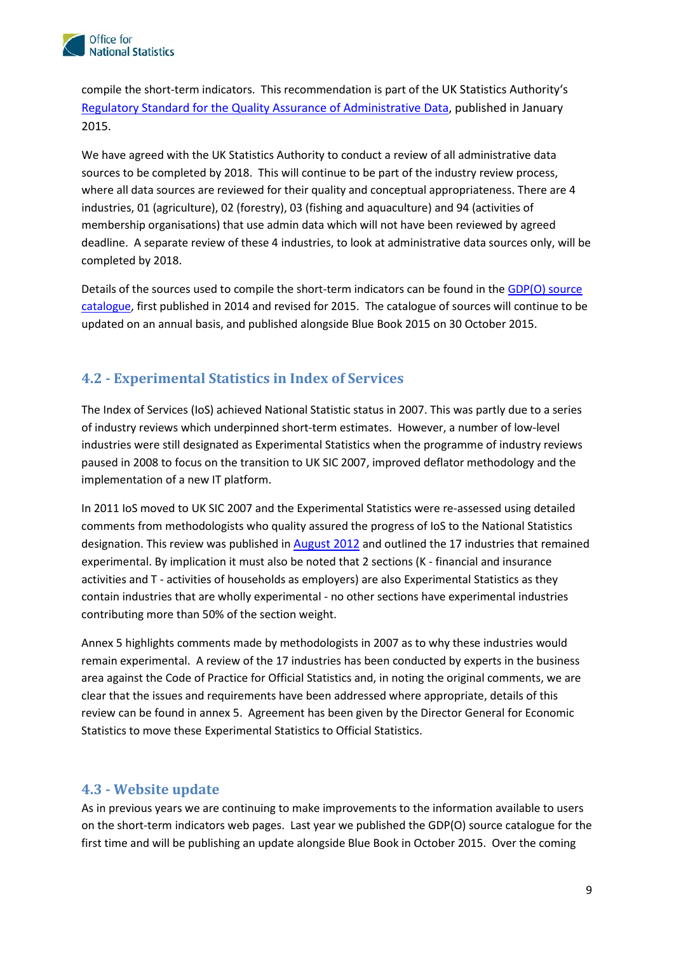

2015. compile the short-term indicators. This recommendation is part of the UK Statistics Authority's [Regulatory Standard for the Quality Assurance of Administrative Data,](http://www.statisticsauthority.gov.uk/assessment/monitoring/administrative-data-and-official-statistics/index.html) published in January

 sources to be completed by 2018. This will continue to be part of the industry review process, where all data sources are reviewed for their quality and conceptual appropriateness. There are 4 membership organisations) that use admin data which will not have been reviewed by agreed completed by 2018. We have agreed with the UK Statistics Authority to conduct a review of all administrative data industries, 01 (agriculture), 02 (forestry), 03 (fishing and aquaculture) and 94 (activities of deadline. A separate review of these 4 industries, to look at administrative data sources only, will be

[catalogue,](http://www.ons.gov.uk/ons/guide-method/method-quality/specific/economy/output-approach-to-gdp/methods-and-sources/output-approach-to-measuring-gdp-source-catalogue.xls) first published in 2014 and revised for 2015. The catalogue of sources will continue to be updated on an annual basis, and published alongside Blue Book 2015 on 30 October 2015. Details of the sources used to compile the short-term indicators can be found in the GDP(O) source

### <span id="page-8-0"></span>**4.2 - Experimental Statistics in Index of Services**

 paused in 2008 to focus on the transition to UK SIC 2007, improved deflator methodology and the implementation of a new IT platform. The Index of Services (IoS) achieved National Statistic status in 2007. This was partly due to a series of industry reviews which underpinned short-term estimates. However, a number of low-level industries were still designated as Experimental Statistics when the programme of industry reviews

 comments from methodologists who quality assured the progress of IoS to the National Statistics experimental. By implication it must also be noted that 2 sections (K - financial and insurance activities and T - activities of households as employers) are also Experimental Statistics as they In 2011 IoS moved to UK SIC 2007 and the Experimental Statistics were re-assessed using detailed designation. This review was published in [August 2012](http://www.ons.gov.uk/ons/guide-method/method-quality/specific/economy/index-of-services/future-improvements/industry-reviews/index-of-services---industry-reviews-august-2012.pdf) and outlined the 17 industries that remained contain industries that are wholly experimental - no other sections have experimental industries contributing more than 50% of the section weight.

 remain experimental. A review of the 17 industries has been conducted by experts in the business area against the Code of Practice for Official Statistics and, in noting the original comments, we are clear that the issues and requirements have been addressed where appropriate, details of this review can be found in annex 5. Agreement has been given by the Director General for Economic Annex 5 highlights comments made by methodologists in 2007 as to why these industries would Statistics to move these Experimental Statistics to Official Statistics.

### <span id="page-8-1"></span>**4.3 - Website update**

 on the short-term indicators web pages. Last year we published the GDP(O) source catalogue for the first time and will be publishing an update alongside Blue Book in October 2015. Over the coming As in previous years we are continuing to make improvements to the information available to users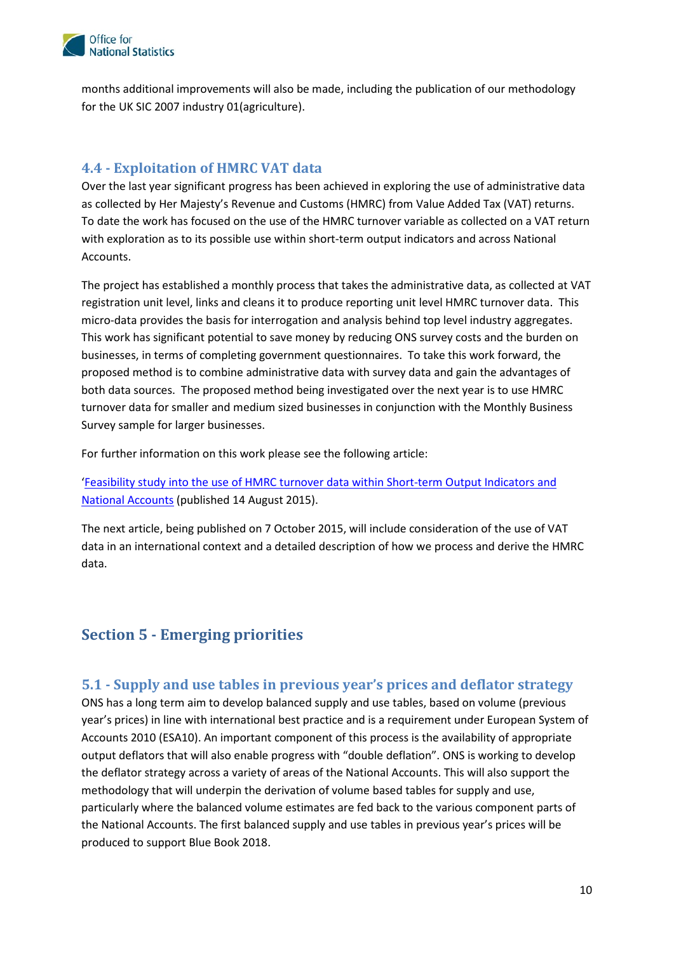

months additional improvements will also be made, including the publication of our methodology for the UK SIC 2007 industry 01(agriculture).

### <span id="page-9-0"></span>**4.4 - Exploitation of HMRC VAT data**

 Over the last year significant progress has been achieved in exploring the use of administrative data as collected by Her Majesty's Revenue and Customs (HMRC) from Value Added Tax (VAT) returns. with exploration as to its possible use within short-term output indicators and across National Accounts. To date the work has focused on the use of the HMRC turnover variable as collected on a VAT return

Accounts.<br>The project has established a monthly process that takes the administrative data, as collected at VAT registration unit level, links and cleans it to produce reporting unit level HMRC turnover data. This This work has significant potential to save money by reducing ONS survey costs and the burden on businesses, in terms of completing government questionnaires. To take this work forward, the Survey sample for larger businesses. micro-data provides the basis for interrogation and analysis behind top level industry aggregates. proposed method is to combine administrative data with survey data and gain the advantages of both data sources. The proposed method being investigated over the next year is to use HMRC turnover data for smaller and medium sized businesses in conjunction with the Monthly Business

For further information on this work please see the following article:

 ['Feasibility study into the use of HMRC turnover data within Short-term Output Indicators and](http://www.ons.gov.uk/ons/rel/naa1-rd/national-accounts-articles/feasibility-study-into-the-use-of-hmrc-turnover-data-within-short-term-output-indicators-and-national-accounts/index.html)  [National Accounts \(](http://www.ons.gov.uk/ons/rel/naa1-rd/national-accounts-articles/feasibility-study-into-the-use-of-hmrc-turnover-data-within-short-term-output-indicators-and-national-accounts/index.html)published 14 August 2015).

 The next article, being published on 7 October 2015, will include consideration of the use of VAT data in an international context and a detailed description of how we process and derive the HMRC data.

### <span id="page-9-1"></span>**Section 5 - Emerging priorities**

### <span id="page-9-2"></span>**5.1 - Supply and use tables in previous year's prices and deflator strategy**

 ONS has a long term aim to develop balanced supply and use tables, based on volume (previous year's prices) in line with international best practice and is a requirement under European System of output deflators that will also enable progress with "double deflation". ONS is working to develop methodology that will underpin the derivation of volume based tables for supply and use, the National Accounts. The first balanced supply and use tables in previous year's prices will be produced to support Blue Book 2018. Accounts 2010 (ESA10). An important component of this process is the availability of appropriate the deflator strategy across a variety of areas of the National Accounts. This will also support the particularly where the balanced volume estimates are fed back to the various component parts of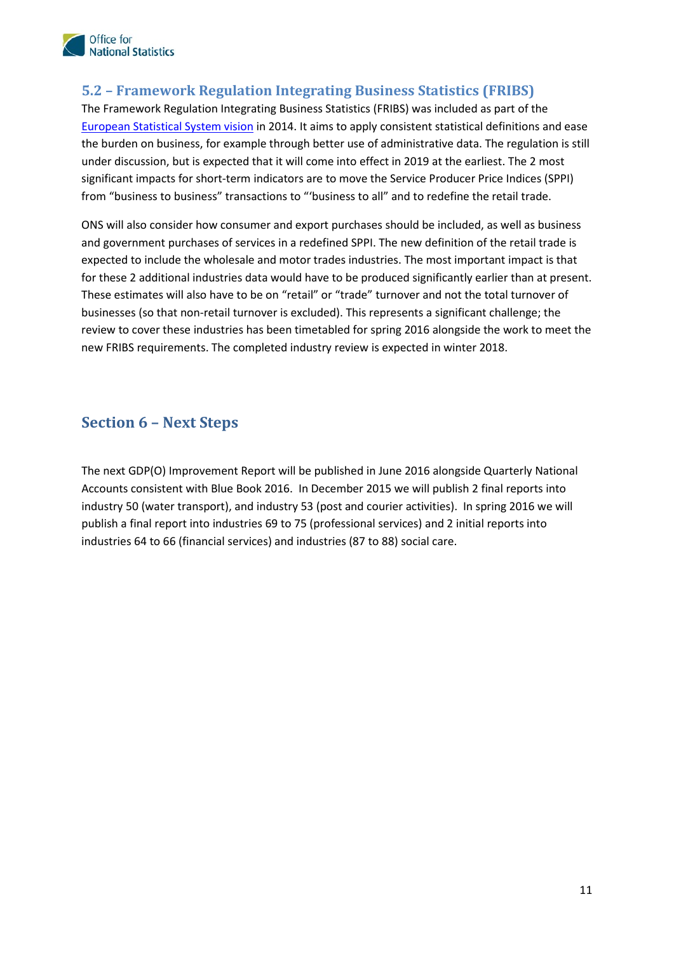

### <span id="page-10-0"></span>**5.2 – Framework Regulation Integrating Business Statistics (FRIBS)**

[European Statistical System vision](http://eur-lex.europa.eu/LexUriServ/LexUriServ.do?uri=COM:2009:0404:FIN:EN:PDF) in 2014. It aims to apply consistent statistical definitions and ease from "business to business" transactions to "'business to all" and to redefine the retail trade. The Framework Regulation Integrating Business Statistics (FRIBS) was included as part of the the burden on business, for example through better use of administrative data. The regulation is still under discussion, but is expected that it will come into effect in 2019 at the earliest. The 2 most significant impacts for short-term indicators are to move the Service Producer Price Indices (SPPI)

 ONS will also consider how consumer and export purchases should be included, as well as business These estimates will also have to be on "retail" or "trade" turnover and not the total turnover of review to cover these industries has been timetabled for spring 2016 alongside the work to meet the new FRIBS requirements. The completed industry review is expected in winter 2018. and government purchases of services in a redefined SPPI. The new definition of the retail trade is expected to include the wholesale and motor trades industries. The most important impact is that for these 2 additional industries data would have to be produced significantly earlier than at present. businesses (so that non-retail turnover is excluded). This represents a significant challenge; the

### <span id="page-10-1"></span>**Section 6 – Next Steps**

 industries 64 to 66 (financial services) and industries (87 to 88) social care. The next GDP(O) Improvement Report will be published in June 2016 alongside Quarterly National Accounts consistent with Blue Book 2016. In December 2015 we will publish 2 final reports into industry 50 (water transport), and industry 53 (post and courier activities). In spring 2016 we will publish a final report into industries 69 to 75 (professional services) and 2 initial reports into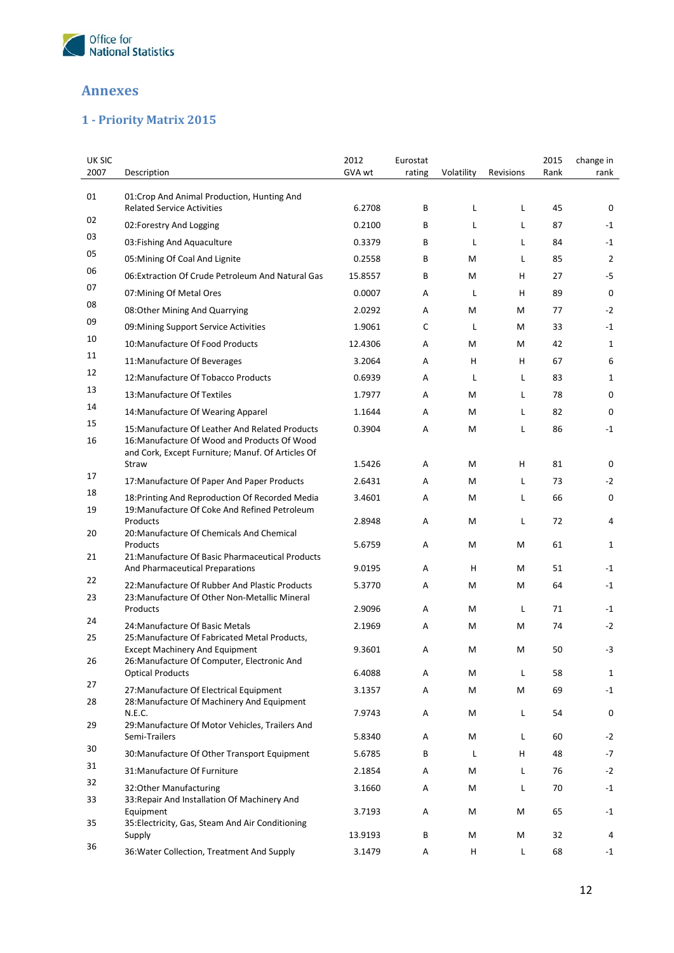

### <span id="page-11-0"></span>**Annexes**

## <span id="page-11-1"></span>**1 - Priority Matrix 2015**

| <b>UK SIC</b> |                                                                                                   | 2012    | Eurostat |            |           | 2015 | change in      |
|---------------|---------------------------------------------------------------------------------------------------|---------|----------|------------|-----------|------|----------------|
| 2007          | Description                                                                                       | GVA wt  | rating   | Volatility | Revisions | Rank | rank           |
| 01            | 01: Crop And Animal Production, Hunting And<br><b>Related Service Activities</b>                  | 6.2708  | B        | L          | L         | 45   | 0              |
| 02            | 02:Forestry And Logging                                                                           | 0.2100  | B        | L          | L         | 87   | $-1$           |
| 03            | 03: Fishing And Aquaculture                                                                       | 0.3379  | B        | L          | L         | 84   | $-1$           |
| 05            | 05: Mining Of Coal And Lignite                                                                    | 0.2558  | B        | M          | L         | 85   | $\overline{2}$ |
| 06            | 06: Extraction Of Crude Petroleum And Natural Gas                                                 | 15.8557 | В        | M          | н         | 27   | -5             |
| 07            | 07: Mining Of Metal Ores                                                                          | 0.0007  | Α        | L          | н         | 89   | $\mathbf 0$    |
| 08            | 08:Other Mining And Quarrying                                                                     | 2.0292  | Α        | M          | М         | 77   | $-2$           |
| 09            | 09: Mining Support Service Activities                                                             | 1.9061  | C        | L          | М         | 33   | $-1$           |
| 10            | 10: Manufacture Of Food Products                                                                  | 12.4306 | Α        | M          | М         | 42   | $\mathbf{1}$   |
| 11            | 11: Manufacture Of Beverages                                                                      | 3.2064  | Α        | н          | н         | 67   | 6              |
| 12            | 12: Manufacture Of Tobacco Products                                                               | 0.6939  | A        | L          | L         | 83   | $\mathbf{1}$   |
| 13            | 13: Manufacture Of Textiles                                                                       | 1.7977  | Α        | M          | L         | 78   | 0              |
| 14            | 14: Manufacture Of Wearing Apparel                                                                | 1.1644  | Α        | M          | L         | 82   | 0              |
| 15            | 15: Manufacture Of Leather And Related Products                                                   | 0.3904  | Α        | M          | L         | 86   | $-1$           |
| 16            | 16: Manufacture Of Wood and Products Of Wood<br>and Cork, Except Furniture; Manuf. Of Articles Of |         |          |            |           |      |                |
|               | Straw                                                                                             | 1.5426  | Α        | M          | н         | 81   | 0              |
| 17            | 17: Manufacture Of Paper And Paper Products                                                       | 2.6431  | Α        | M          | L         | 73   | $-2$           |
| 18            | 18: Printing And Reproduction Of Recorded Media                                                   | 3.4601  | Α        | M          | Г         | 66   | 0              |
| 19            | 19: Manufacture Of Coke And Refined Petroleum<br>Products                                         | 2.8948  | Α        | M          | L         | 72   | 4              |
| 20            | 20: Manufacture Of Chemicals And Chemical                                                         |         |          |            |           |      |                |
| 21            | Products<br>21: Manufacture Of Basic Pharmaceutical Products                                      | 5.6759  | Α        | M          | М         | 61   | $\mathbf{1}$   |
|               | And Pharmaceutical Preparations                                                                   | 9.0195  | Α        | H          | М         | 51   | $-1$           |
| 22            | 22: Manufacture Of Rubber And Plastic Products                                                    | 5.3770  | Α        | M          | М         | 64   | $-1$           |
| 23            | 23: Manufacture Of Other Non-Metallic Mineral<br>Products                                         | 2.9096  | Α        | M          | Г         | 71   | $-1$           |
| 24            | 24: Manufacture Of Basic Metals                                                                   | 2.1969  | Α        | M          | М         | 74   | $-2$           |
| 25            | 25: Manufacture Of Fabricated Metal Products,                                                     |         |          |            |           |      |                |
|               | <b>Except Machinery And Equipment</b><br>26: Manufacture Of Computer, Electronic And              | 9.3601  | A        | M          | М         | 50   | -3             |
| 26            | <b>Optical Products</b>                                                                           | 6.4088  | Α        | M          | Г         | 58   | $\mathbf{1}$   |
| 27            | 27: Manufacture Of Electrical Equipment                                                           | 3.1357  | Α        | М          | M         | 69   | $-1$           |
| 28            | 28: Manufacture Of Machinery And Equipment                                                        |         |          |            |           |      |                |
| 29            | N.E.C.<br>29: Manufacture Of Motor Vehicles, Trailers And                                         | 7.9743  | Α        | M          | Г         | 54   | 0              |
|               | Semi-Trailers                                                                                     | 5.8340  | Α        | M          | Г         | 60   | $-2$           |
| 30            | 30: Manufacture Of Other Transport Equipment                                                      | 5.6785  | В        | L          | н         | 48   | $-7$           |
| 31            | 31: Manufacture Of Furniture                                                                      | 2.1854  | Α        | M          | Г         | 76   | $-2$           |
| 32            | 32:Other Manufacturing                                                                            | 3.1660  | Α        | M          | L         | 70   | $-1$           |
| 33            | 33: Repair And Installation Of Machinery And<br>Equipment                                         | 3.7193  | Α        | M          | м         | 65   | $-1$           |
| 35            | 35: Electricity, Gas, Steam And Air Conditioning<br>Supply                                        | 13.9193 | В        | М          | м         | 32   | 4              |
| 36            | 36: Water Collection, Treatment And Supply                                                        | 3.1479  | Α        | H          | L         | 68   | $-1$           |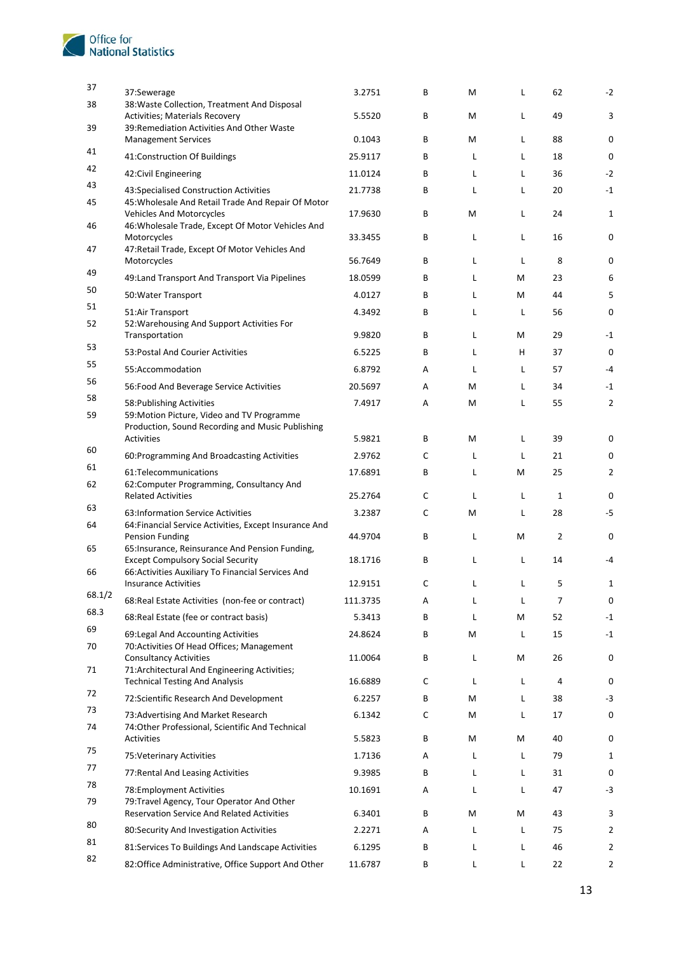

| 37             | 37:Sewerage                                                                                                  | 3.2751             | В      | M      | L      | 62                 | $-2$             |
|----------------|--------------------------------------------------------------------------------------------------------------|--------------------|--------|--------|--------|--------------------|------------------|
| 38             | 38: Waste Collection, Treatment And Disposal<br><b>Activities; Materials Recovery</b>                        | 5.5520             | В      | M      | L      | 49                 | 3                |
| 39             | 39: Remediation Activities And Other Waste<br><b>Management Services</b>                                     | 0.1043             | В      | M      | L      | 88                 | 0                |
| 41             | 41:Construction Of Buildings                                                                                 | 25.9117            | В      | L      | L      | 18                 | $\mathbf 0$      |
| 42             | 42: Civil Engineering                                                                                        | 11.0124            | В      | L      | L      | 36                 | $-2$             |
| 43             | 43:Specialised Construction Activities                                                                       | 21.7738            | В      | L      | L      | 20                 | $-1$             |
| 45             | 45: Wholesale And Retail Trade And Repair Of Motor<br><b>Vehicles And Motorcycles</b>                        | 17.9630            | В      | M      | L      | 24                 | 1                |
| 46             | 46: Wholesale Trade, Except Of Motor Vehicles And<br>Motorcycles                                             | 33.3455            | B      | L      | L      | 16                 | $\mathbf 0$      |
| 47             | 47: Retail Trade, Except Of Motor Vehicles And<br>Motorcycles                                                | 56.7649            | В      | L      | L      | 8                  | 0                |
| 49             | 49: Land Transport And Transport Via Pipelines                                                               | 18.0599            | B      | L      | М      | 23                 | 6                |
| 50             | 50: Water Transport                                                                                          | 4.0127             | В      | L      | М      | 44                 | 5                |
| 51             | 51:Air Transport                                                                                             | 4.3492             | В      | L      | L      | 56                 | $\mathbf 0$      |
| 52             | 52: Warehousing And Support Activities For<br>Transportation                                                 | 9.9820             | В      | L      | M      | 29                 | $-1$             |
| 53             | 53: Postal And Courier Activities                                                                            | 6.5225             | B      | L      | н      | 37                 | $\mathbf 0$      |
| 55             | 55:Accommodation                                                                                             | 6.8792             | Α      | L      | L      | 57                 | $-4$             |
| 56             | 56: Food And Beverage Service Activities                                                                     | 20.5697            | Α      | M      | L      | 34                 | $-1$             |
| 58             | 58: Publishing Activities                                                                                    | 7.4917             | Α      | M      | L      | 55                 | $\overline{2}$   |
| 59             | 59: Motion Picture, Video and TV Programme<br>Production, Sound Recording and Music Publishing<br>Activities | 5.9821             | В      | M      | L      | 39                 | 0                |
| 60             |                                                                                                              | 2.9762             | С      | L      | L      | 21                 | 0                |
| 61             | 60: Programming And Broadcasting Activities                                                                  |                    |        |        |        |                    |                  |
| 62             | 61:Telecommunications<br>62: Computer Programming, Consultancy And<br><b>Related Activities</b>              | 17.6891<br>25.2764 | В<br>С | L<br>L | М<br>L | 25<br>$\mathbf{1}$ | 2<br>$\mathbf 0$ |
| 63             | 63: Information Service Activities                                                                           | 3.2387             | С      | M      | L      | 28                 | $-5$             |
| 64             | 64: Financial Service Activities, Except Insurance And<br>Pension Funding                                    | 44.9704            | В      | L      | М      | $\overline{2}$     | 0                |
| 65             | 65: Insurance, Reinsurance And Pension Funding,<br><b>Except Compulsory Social Security</b>                  | 18.1716            | В      | L      | L      | 14                 | $-4$             |
| 66             | 66: Activities Auxiliary To Financial Services And                                                           |                    |        |        |        |                    |                  |
|                | <b>Insurance Activities</b>                                                                                  | 12.9151            | С      | L      | Г      | 5                  | 1                |
| 68.1/2<br>68.3 | 68: Real Estate Activities (non-fee or contract)                                                             | 111.3735           | Α      | L      | L      | $\overline{7}$     | $\pmb{0}$        |
|                | 68: Real Estate (fee or contract basis)                                                                      | 5.3413             | В      | L      | M      | 52                 | $-1$             |
| 69<br>70       | 69: Legal And Accounting Activities<br>70: Activities Of Head Offices; Management                            | 24.8624            | В      | M      | L      | 15                 | $^{\mbox{-}1}$   |
| 71             | <b>Consultancy Activities</b><br>71: Architectural And Engineering Activities;                               | 11.0064            | B      | L      | M      | 26                 | $\pmb{0}$        |
| 72             | <b>Technical Testing And Analysis</b>                                                                        | 16.6889            | с      | L      | L      | 4                  | $\pmb{0}$        |
| 73             | 72:Scientific Research And Development                                                                       | 6.2257             | В      | М      | L      | 38                 | -3               |
| 74             | 73: Advertising And Market Research<br>74:Other Professional, Scientific And Technical                       | 6.1342             | с      | М      | L      | 17                 | $\pmb{0}$        |
| 75             | Activities                                                                                                   | 5.5823             | В      | M      | M      | 40                 | 0                |
| 77             | 75: Veterinary Activities                                                                                    | 1.7136             | Α      | L      | Г      | 79                 | 1                |
| 78             | 77: Rental And Leasing Activities                                                                            | 9.3985             | В      | L      | Г      | 31                 | 0                |
| 79             | 78: Employment Activities<br>79: Travel Agency, Tour Operator And Other                                      | 10.1691            | Α      | L      | L      | 47                 | $-3$             |
| 80             | <b>Reservation Service And Related Activities</b>                                                            | 6.3401             | В      | M      | M      | 43                 | 3                |
| 81             | 80:Security And Investigation Activities                                                                     | 2.2271             | Α      | L      | Г      | 75                 | $\overline{2}$   |
| 82             | 81:Services To Buildings And Landscape Activities                                                            | 6.1295             | В      | L      | Г      | 46                 | 2                |
|                | 82:Office Administrative, Office Support And Other                                                           | 11.6787            | В      | L      | Г      | 22                 | 2                |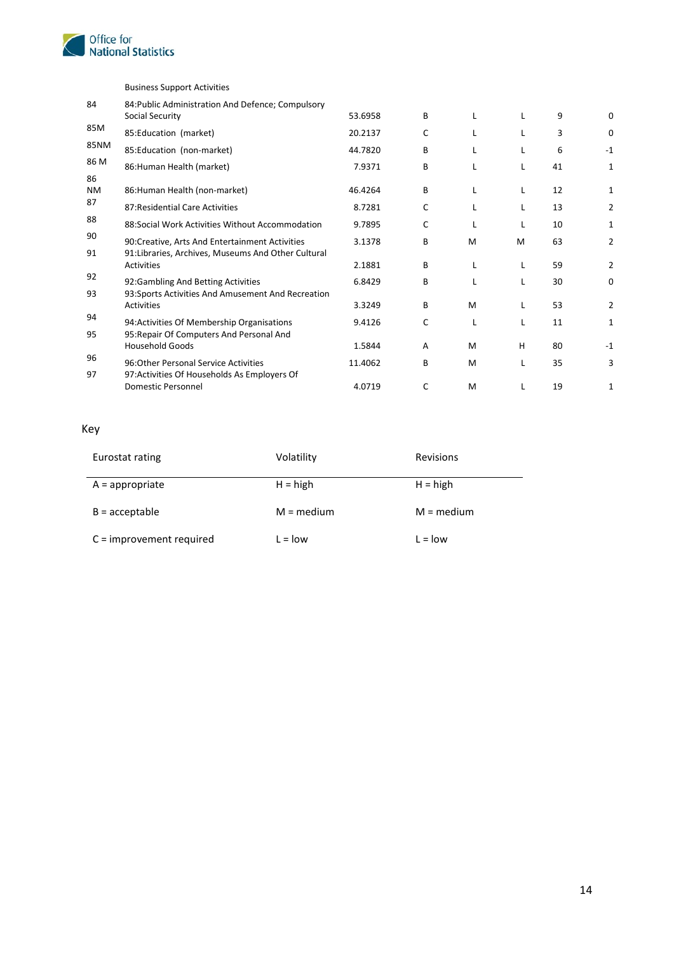

|                 | <b>Business Support Activities</b>                                                                    |         |   |   |   |    |                |
|-----------------|-------------------------------------------------------------------------------------------------------|---------|---|---|---|----|----------------|
| 84              | 84: Public Administration And Defence; Compulsory<br>Social Security                                  | 53.6958 | B | L | L | 9  | $\Omega$       |
| 85M             | 85:Education (market)                                                                                 | 20.2137 | C | L | L | 3  | 0              |
| <b>85NM</b>     | 85:Education (non-market)                                                                             | 44.7820 | B | L | L | 6  | $-1$           |
| 86 M            | 86: Human Health (market)                                                                             | 7.9371  | B |   | L | 41 | 1              |
| 86<br><b>NM</b> | 86: Human Health (non-market)                                                                         | 46.4264 | B | L | L | 12 | 1              |
| 87              | 87: Residential Care Activities                                                                       | 8.7281  | C | L | L | 13 | 2              |
| 88              | 88: Social Work Activities Without Accommodation                                                      | 9.7895  | C | L | L | 10 | 1              |
| 90<br>91        | 90:Creative, Arts And Entertainment Activities<br>91: Libraries, Archives, Museums And Other Cultural | 3.1378  | B | M | M | 63 | 2              |
|                 | Activities                                                                                            | 2.1881  | B | L | L | 59 | $\overline{2}$ |
| 92              | 92:Gambling And Betting Activities                                                                    | 6.8429  | B | L | L | 30 | $\mathbf 0$    |
| 93              | 93: Sports Activities And Amusement And Recreation<br>Activities                                      | 3.3249  | B | M | L | 53 | $\overline{2}$ |
| 94              | 94: Activities Of Membership Organisations                                                            | 9.4126  | C | L | L | 11 | 1              |
| 95              | 95: Repair Of Computers And Personal And<br><b>Household Goods</b>                                    | 1.5844  | A | M | H | 80 | $-1$           |
| 96<br>97        | 96: Other Personal Service Activities<br>97: Activities Of Households As Employers Of                 | 11.4062 | B | M | L | 35 | 3              |
|                 | Domestic Personnel                                                                                    | 4.0719  | C | M | L | 19 | 1              |

#### Key

| Eurostat rating            | Volatility   | Revisions    |
|----------------------------|--------------|--------------|
| $A =$ appropriate          | $H = high$   | $H = high$   |
| $B =$ acceptable           | $M = medium$ | $M = medium$ |
| $C =$ improvement required | $L =$ low    | $L =$ low    |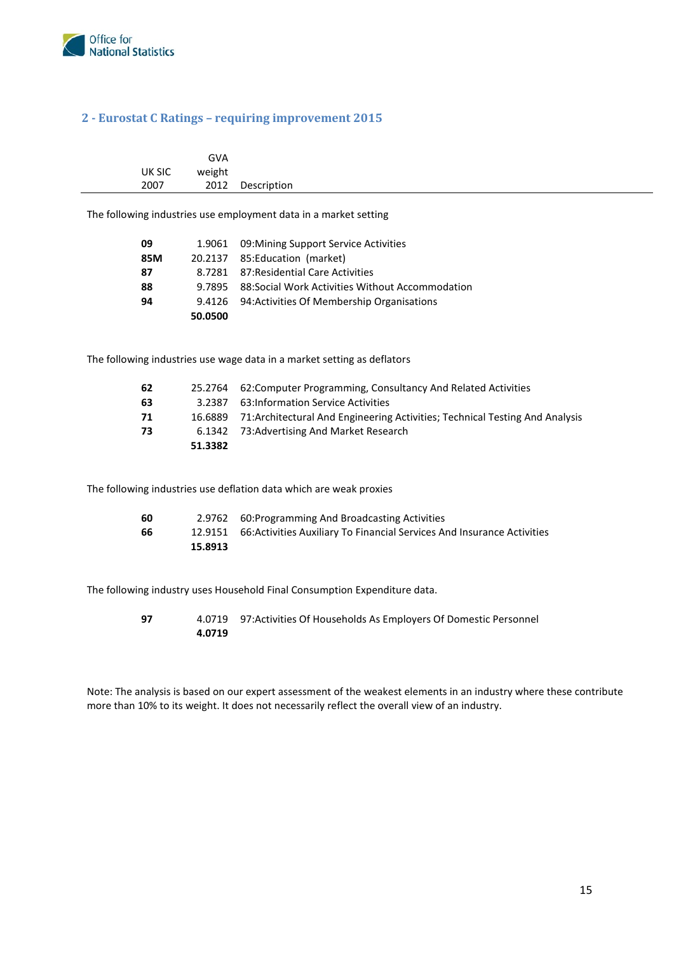

#### <span id="page-14-0"></span>**2 - Eurostat C Ratings – requiring improvement 2015**

|        | GVA    |                                                                  |
|--------|--------|------------------------------------------------------------------|
| UK SIC | weight |                                                                  |
| 2007   |        | 2012 Description                                                 |
|        |        | The following industries use employment data in a market setting |

The following industries use employment data in a market setting

| 09  |         | 1.9061 09: Mining Support Service Activities      |
|-----|---------|---------------------------------------------------|
| 85M |         | 20.2137 85: Education (market)                    |
| 87  |         | 8.7281 87: Residential Care Activities            |
| 88  | 9.7895  | 88: Social Work Activities Without Accommodation  |
| 94  |         | 9.4126 94: Activities Of Membership Organisations |
|     | 50.0500 |                                                   |

The following industries use wage data in a market setting as deflators

| -62 |         | 25.2764 62: Computer Programming, Consultancy And Related Activities                 |
|-----|---------|--------------------------------------------------------------------------------------|
| 63  | 3.2387  | 63:Information Service Activities                                                    |
| 71  |         | 16.6889 71: Architectural And Engineering Activities; Technical Testing And Analysis |
| 73  |         | 6.1342 73: Advertising And Market Research                                           |
|     | 51.3382 |                                                                                      |

The following industries use deflation data which are weak proxies

| 60 |         | 2.9762 60: Programming And Broadcasting Activities                              |
|----|---------|---------------------------------------------------------------------------------|
| 66 |         | 12.9151 66: Activities Auxiliary To Financial Services And Insurance Activities |
|    | 15.8913 |                                                                                 |

The following industry uses Household Final Consumption Expenditure data.

| 97 |        | 4.0719 97: Activities Of Households As Employers Of Domestic Personnel |
|----|--------|------------------------------------------------------------------------|
|    | 4.0719 |                                                                        |

 Note: The analysis is based on our expert assessment of the weakest elements in an industry where these contribute more than 10% to its weight. It does not necessarily reflect the overall view of an industry.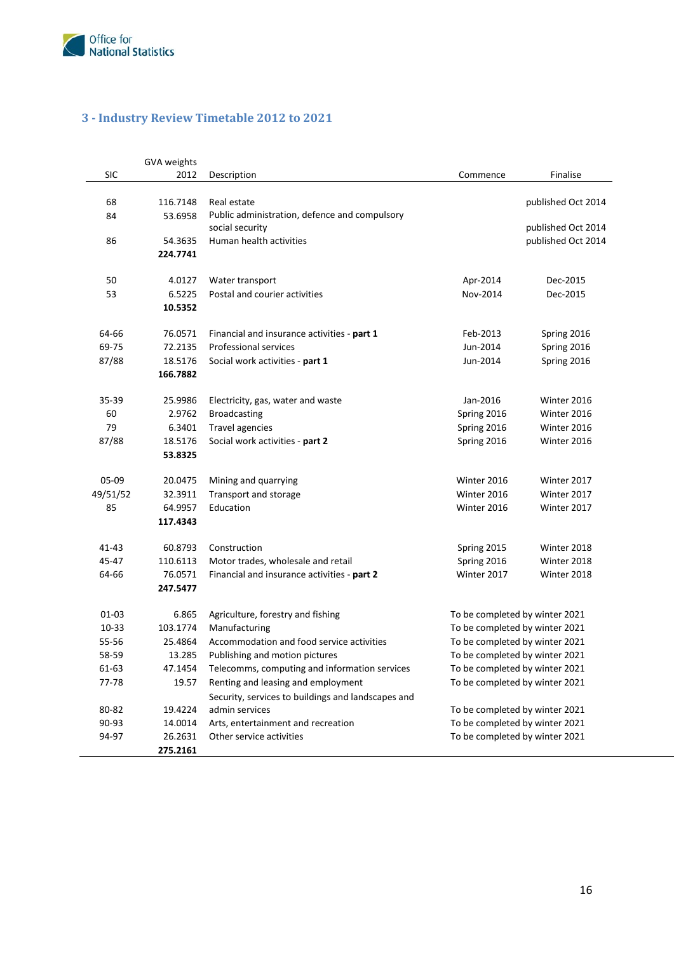

### <span id="page-15-0"></span>**3 - Industry Review Timetable 2012 to 2021**

|            | GVA weights |                                                    |             |                                |
|------------|-------------|----------------------------------------------------|-------------|--------------------------------|
| <b>SIC</b> | 2012        | Description                                        | Commence    | Finalise                       |
|            |             |                                                    |             |                                |
| 68         | 116.7148    | Real estate                                        |             | published Oct 2014             |
| 84         | 53.6958     | Public administration, defence and compulsory      |             |                                |
|            |             | social security                                    |             | published Oct 2014             |
| 86         | 54.3635     | Human health activities                            |             | published Oct 2014             |
|            | 224.7741    |                                                    |             |                                |
| 50         | 4.0127      | Water transport                                    | Apr-2014    | Dec-2015                       |
| 53         | 6.5225      | Postal and courier activities                      | Nov-2014    | Dec-2015                       |
|            | 10.5352     |                                                    |             |                                |
|            |             |                                                    |             |                                |
| 64-66      | 76.0571     | Financial and insurance activities - part 1        | Feb-2013    | Spring 2016                    |
| 69-75      | 72.2135     | Professional services                              | Jun-2014    | Spring 2016                    |
| 87/88      | 18.5176     | Social work activities - part 1                    | Jun-2014    | Spring 2016                    |
|            | 166.7882    |                                                    |             |                                |
|            |             |                                                    |             |                                |
| $35 - 39$  | 25.9986     | Electricity, gas, water and waste                  | Jan-2016    | Winter 2016                    |
| 60         | 2.9762      | <b>Broadcasting</b>                                | Spring 2016 | Winter 2016                    |
| 79         | 6.3401      | <b>Travel agencies</b>                             | Spring 2016 | Winter 2016                    |
| 87/88      | 18.5176     | Social work activities - part 2                    | Spring 2016 | Winter 2016                    |
|            | 53.8325     |                                                    |             |                                |
| 05-09      | 20.0475     | Mining and quarrying                               | Winter 2016 | Winter 2017                    |
| 49/51/52   | 32.3911     | Transport and storage                              | Winter 2016 | Winter 2017                    |
| 85         | 64.9957     | Education                                          | Winter 2016 | Winter 2017                    |
|            | 117.4343    |                                                    |             |                                |
|            |             |                                                    |             |                                |
| 41-43      | 60.8793     | Construction                                       | Spring 2015 | Winter 2018                    |
| 45-47      | 110.6113    | Motor trades, wholesale and retail                 | Spring 2016 | Winter 2018                    |
| 64-66      | 76.0571     | Financial and insurance activities - part 2        | Winter 2017 | Winter 2018                    |
|            | 247.5477    |                                                    |             |                                |
| 01-03      | 6.865       | Agriculture, forestry and fishing                  |             | To be completed by winter 2021 |
| 10-33      | 103.1774    | Manufacturing                                      |             | To be completed by winter 2021 |
| 55-56      | 25.4864     | Accommodation and food service activities          |             | To be completed by winter 2021 |
| 58-59      | 13.285      | Publishing and motion pictures                     |             | To be completed by winter 2021 |
| 61-63      | 47.1454     | Telecomms, computing and information services      |             | To be completed by winter 2021 |
| 77-78      | 19.57       | Renting and leasing and employment                 |             | To be completed by winter 2021 |
|            |             | Security, services to buildings and landscapes and |             |                                |
| 80-82      | 19.4224     | admin services                                     |             | To be completed by winter 2021 |
| 90-93      | 14.0014     | Arts, entertainment and recreation                 |             | To be completed by winter 2021 |
| 94-97      | 26.2631     | Other service activities                           |             | To be completed by winter 2021 |
|            | 275.2161    |                                                    |             |                                |
|            |             |                                                    |             |                                |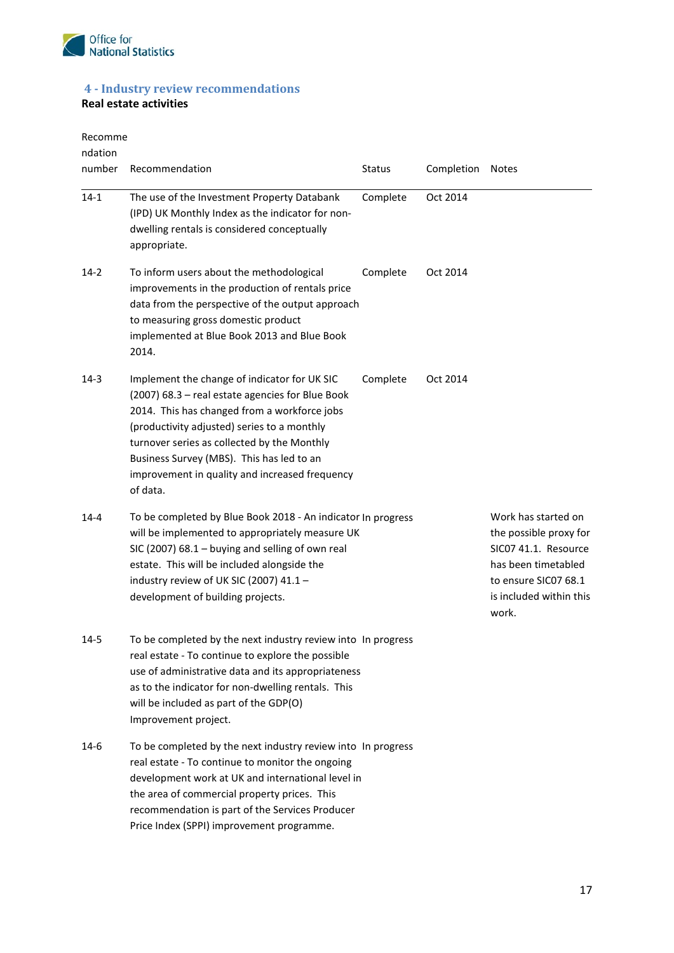

### <span id="page-16-0"></span>**4 - Industry review recommendations**

#### **Real estate activities**

Recomme

| ndation<br>number | Recommendation                                                                                                                                                                                                                                                                                                                                            | <b>Status</b> | Completion | <b>Notes</b>                                                                                                                                             |
|-------------------|-----------------------------------------------------------------------------------------------------------------------------------------------------------------------------------------------------------------------------------------------------------------------------------------------------------------------------------------------------------|---------------|------------|----------------------------------------------------------------------------------------------------------------------------------------------------------|
| $14 - 1$          | The use of the Investment Property Databank<br>(IPD) UK Monthly Index as the indicator for non-<br>dwelling rentals is considered conceptually<br>appropriate.                                                                                                                                                                                            | Complete      | Oct 2014   |                                                                                                                                                          |
| $14-2$            | To inform users about the methodological<br>improvements in the production of rentals price<br>data from the perspective of the output approach<br>to measuring gross domestic product<br>implemented at Blue Book 2013 and Blue Book<br>2014.                                                                                                            | Complete      | Oct 2014   |                                                                                                                                                          |
| $14-3$            | Implement the change of indicator for UK SIC<br>(2007) 68.3 - real estate agencies for Blue Book<br>2014. This has changed from a workforce jobs<br>(productivity adjusted) series to a monthly<br>turnover series as collected by the Monthly<br>Business Survey (MBS). This has led to an<br>improvement in quality and increased frequency<br>of data. | Complete      | Oct 2014   |                                                                                                                                                          |
| $14 - 4$          | To be completed by Blue Book 2018 - An indicator In progress<br>will be implemented to appropriately measure UK<br>SIC (2007) 68.1 - buying and selling of own real<br>estate. This will be included alongside the<br>industry review of UK SIC (2007) 41.1 -<br>development of building projects.                                                        |               |            | Work has started on<br>the possible proxy for<br>SIC07 41.1. Resource<br>has been timetabled<br>to ensure SIC07 68.1<br>is included within this<br>work. |
| $14 - 5$          | To be completed by the next industry review into In progress<br>real estate - To continue to explore the possible<br>use of administrative data and its appropriateness<br>as to the indicator for non-dwelling rentals. This<br>will be included as part of the GDP(O)<br>Improvement project.                                                           |               |            |                                                                                                                                                          |
| 14-6              | To be completed by the next industry review into In progress<br>real estate - To continue to monitor the ongoing<br>development work at UK and international level in<br>the area of commercial property prices. This<br>recommendation is part of the Services Producer<br>Price Index (SPPI) improvement programme.                                     |               |            |                                                                                                                                                          |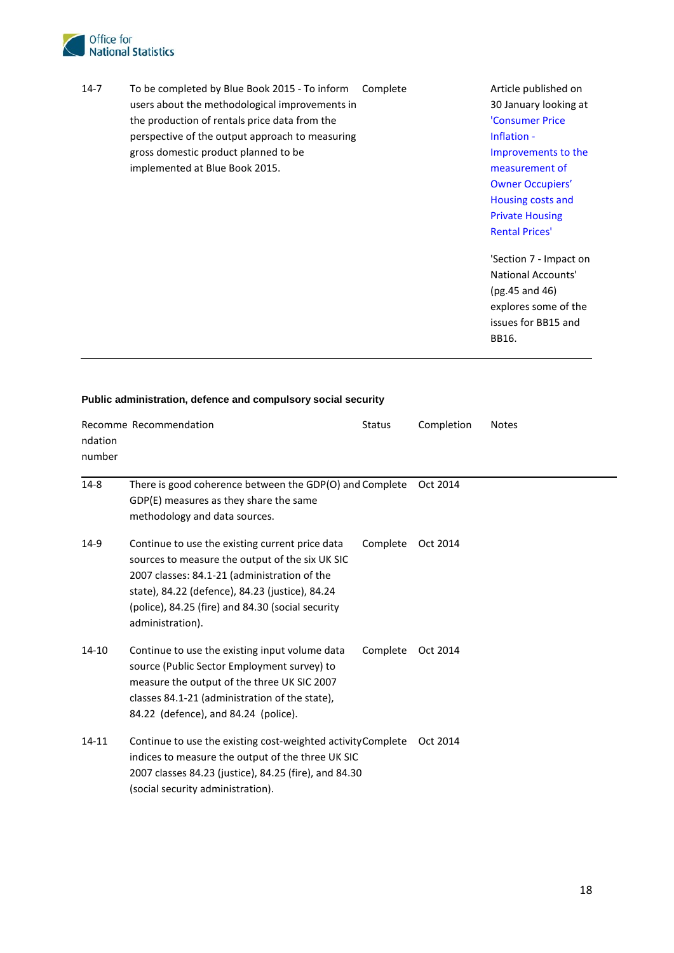

14-7 To be completed by Blue Book 2015 - To inform Complete Article published on users about the methodological improvements in the production of rentals price data from the ['Consumer Price](http://www.ons.gov.uk/ons/guide-method/user-guidance/prices/cpi-and-rpi/improvements-to-the-measurement-of-owner-occupiers--housing.pdf)  perspective of the output approach to measuring **[Inflation -](http://www.ons.gov.uk/ons/guide-method/user-guidance/prices/cpi-and-rpi/improvements-to-the-measurement-of-owner-occupiers--housing.pdf)** Inflation gross domestic product planned to be **Improvements** to the Improvements to the implemented at Blue Book 2015. [measurement of](http://www.ons.gov.uk/ons/guide-method/user-guidance/prices/cpi-and-rpi/improvements-to-the-measurement-of-owner-occupiers--housing.pdf) 

30 January looking at [Owner Occupiers'](http://www.ons.gov.uk/ons/guide-method/user-guidance/prices/cpi-and-rpi/improvements-to-the-measurement-of-owner-occupiers--housing.pdf)  [Housing costs and](http://www.ons.gov.uk/ons/guide-method/user-guidance/prices/cpi-and-rpi/improvements-to-the-measurement-of-owner-occupiers--housing.pdf)  [Private Housing](http://www.ons.gov.uk/ons/guide-method/user-guidance/prices/cpi-and-rpi/improvements-to-the-measurement-of-owner-occupiers--housing.pdf)  [Rental Prices'](http://www.ons.gov.uk/ons/guide-method/user-guidance/prices/cpi-and-rpi/improvements-to-the-measurement-of-owner-occupiers--housing.pdf) 

 issues for BB15 and 'Section 7 - Impact on National Accounts' (pg.45 and 46) explores some of the BB16.

| ndation<br>number | Recomme Recommendation                                                                                                                                                                                                                                                         | <b>Status</b> | Completion | <b>Notes</b> |
|-------------------|--------------------------------------------------------------------------------------------------------------------------------------------------------------------------------------------------------------------------------------------------------------------------------|---------------|------------|--------------|
| $14-8$            | There is good coherence between the GDP(O) and Complete<br>GDP(E) measures as they share the same<br>methodology and data sources.                                                                                                                                             |               | Oct 2014   |              |
| 14-9              | Continue to use the existing current price data<br>sources to measure the output of the six UK SIC<br>2007 classes: 84.1-21 (administration of the<br>state), 84.22 (defence), 84.23 (justice), 84.24<br>(police), 84.25 (fire) and 84.30 (social security<br>administration). | Complete      | Oct 2014   |              |
| 14-10             | Continue to use the existing input volume data<br>source (Public Sector Employment survey) to<br>measure the output of the three UK SIC 2007<br>classes 84.1-21 (administration of the state),<br>84.22 (defence), and 84.24 (police).                                         | Complete      | Oct 2014   |              |
| 14-11             | Continue to use the existing cost-weighted activity Complete<br>indices to measure the output of the three UK SIC<br>2007 classes 84.23 (justice), 84.25 (fire), and 84.30<br>(social security administration).                                                                |               | Oct 2014   |              |

#### **Public administration, defence and compulsory social security**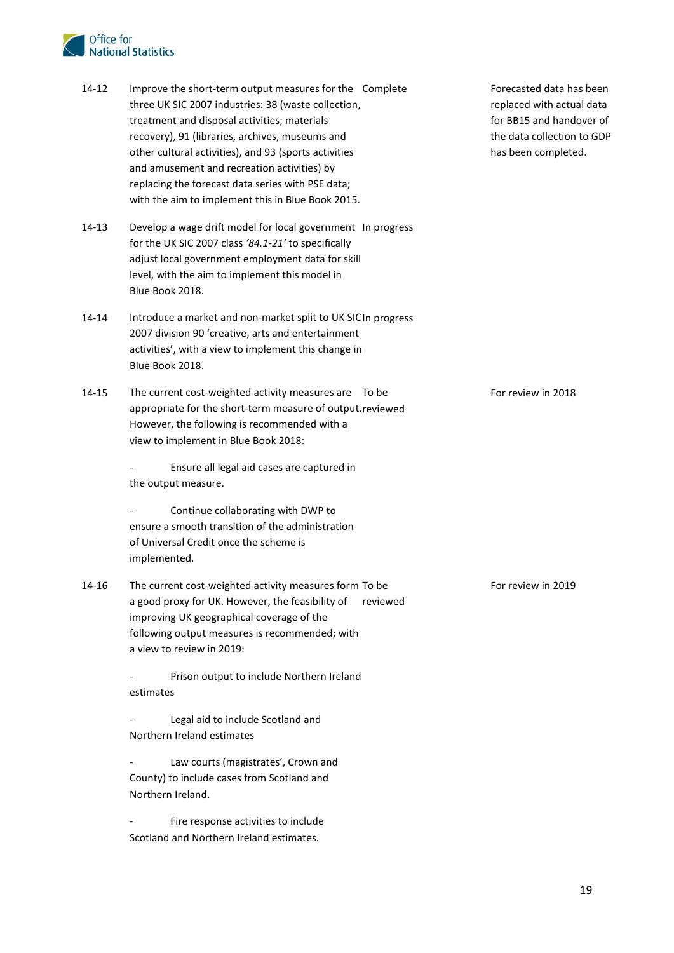#### Office for **National Statistics**

- treatment and disposal activities; materials 14-12 Improve the short-term output measures for the Complete three UK SIC 2007 industries: 38 (waste collection, recovery), 91 (libraries, archives, museums and other cultural activities), and 93 (sports activities and amusement and recreation activities) by replacing the forecast data series with PSE data; with the aim to implement this in Blue Book 2015.
- 14-13 Develop a wage drift model for local government In progress for the UK SIC 2007 class *'84.1-21'* to specifically adjust local government employment data for skill level, with the aim to implement this model in Blue Book 2018.
- 14-14 Introduce a market and non-market split to UK SICIn progress 2007 division 90 'creative, arts and entertainment activities', with a view to implement this change in Blue Book 2018.
- 14-15 The current cost-weighted activity measures are To be appropriate for the short-term measure of output. reviewed However, the following is recommended with a view to implement in Blue Book 2018:

- Ensure all legal aid cases are captured in the output measure.

Continue collaborating with DWP to ensure a smooth transition of the administration of Universal Credit once the scheme is implemented.

 following output measures is recommended; with 14-16 The current cost-weighted activity measures form To be a good proxy for UK. However, the feasibility of improving UK geographical coverage of the a view to review in 2019: reviewed

> Prison output to include Northern Ireland estimates

Legal aid to include Scotland and Northern Ireland estimates

Law courts (magistrates', Crown and County) to include cases from Scotland and Northern Ireland.

Fire response activities to include Scotland and Northern Ireland estimates.

 has been completed. Forecasted data has been replaced with actual data for BB15 and handover of the data collection to GDP

For review in 2018

For review in 2019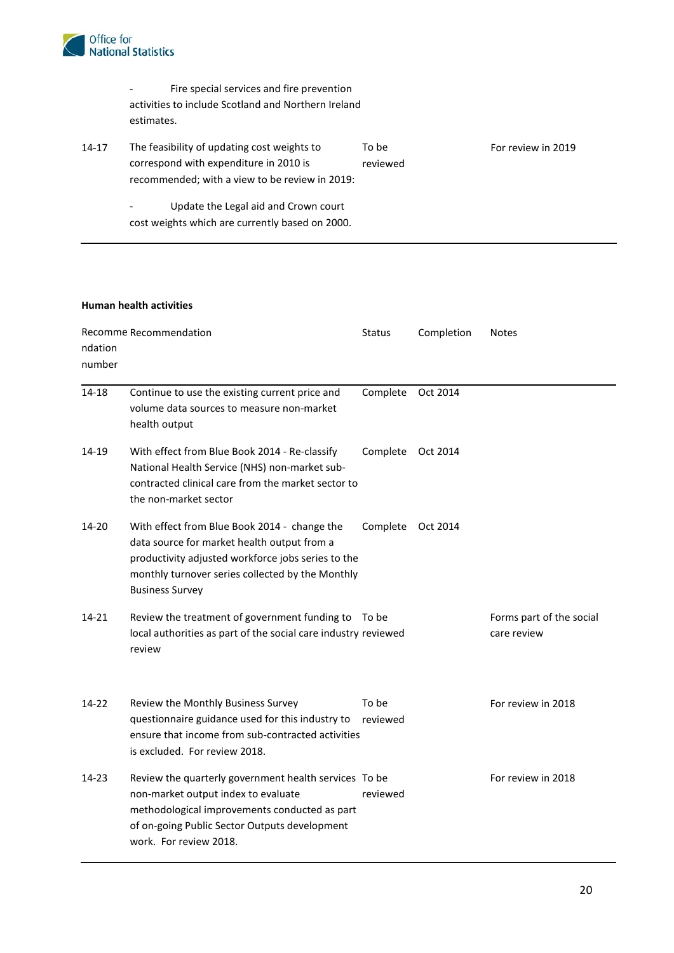

- Fire special services and fire prevention activities to include Scotland and Northern Ireland estimates.

| 14-17 | The feasibility of updating cost weights to                          | To be    | For review in 2019 |  |  |
|-------|----------------------------------------------------------------------|----------|--------------------|--|--|
|       | correspond with expenditure in 2010 is                               | reviewed |                    |  |  |
|       | recommended; with a view to be review in 2019:                       |          |                    |  |  |
|       | Update the Legal aid and Crown court<br>$\qquad \qquad \blacksquare$ |          |                    |  |  |
|       | cost weights which are currently based on 2000.                      |          |                    |  |  |

#### **Human health activities**

| ndation<br>number | Recomme Recommendation                                                                                                                                                                                                          | <b>Status</b>     | Completion | <b>Notes</b>                            |
|-------------------|---------------------------------------------------------------------------------------------------------------------------------------------------------------------------------------------------------------------------------|-------------------|------------|-----------------------------------------|
| 14-18             | Continue to use the existing current price and<br>volume data sources to measure non-market<br>health output                                                                                                                    | Complete          | Oct 2014   |                                         |
| 14-19             | With effect from Blue Book 2014 - Re-classify<br>National Health Service (NHS) non-market sub-<br>contracted clinical care from the market sector to<br>the non-market sector                                                   | Complete          | Oct 2014   |                                         |
| 14-20             | With effect from Blue Book 2014 - change the<br>data source for market health output from a<br>productivity adjusted workforce jobs series to the<br>monthly turnover series collected by the Monthly<br><b>Business Survey</b> | Complete          | Oct 2014   |                                         |
| $14 - 21$         | Review the treatment of government funding to To be<br>local authorities as part of the social care industry reviewed<br>review                                                                                                 |                   |            | Forms part of the social<br>care review |
| 14-22             | Review the Monthly Business Survey<br>questionnaire guidance used for this industry to<br>ensure that income from sub-contracted activities<br>is excluded. For review 2018.                                                    | To be<br>reviewed |            | For review in 2018                      |
| 14-23             | Review the quarterly government health services To be<br>non-market output index to evaluate<br>methodological improvements conducted as part<br>of on-going Public Sector Outputs development<br>work. For review 2018.        | reviewed          |            | For review in 2018                      |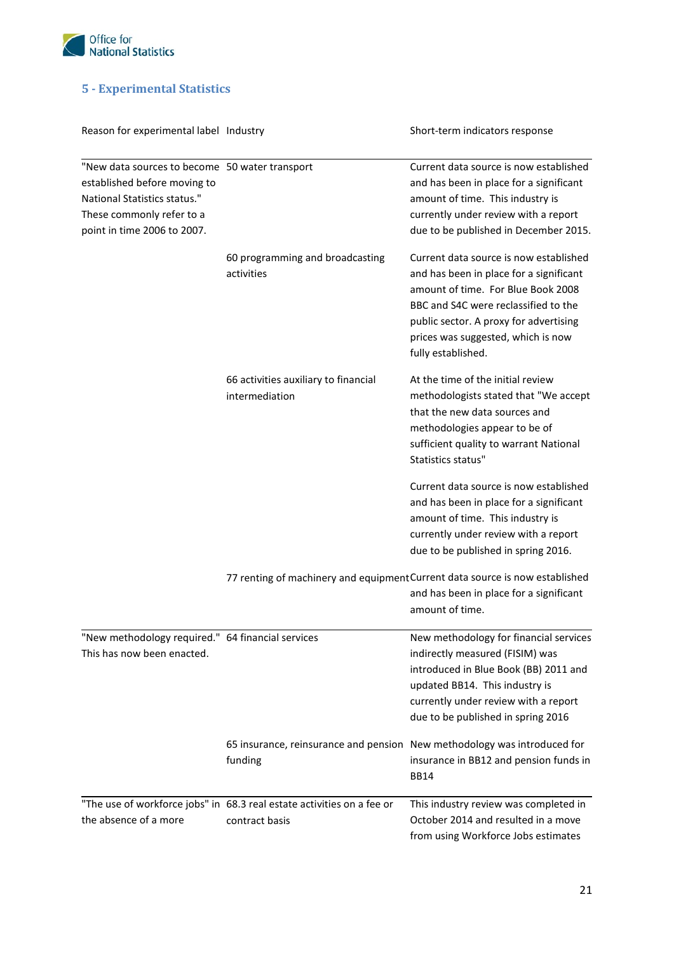

### <span id="page-20-0"></span>**5 - Experimental Statistics**

| Reason for experimental label Industry                                                                                                                                     |                                                                                          | Short-term indicators response                                                                                                                                                                                                                                        |
|----------------------------------------------------------------------------------------------------------------------------------------------------------------------------|------------------------------------------------------------------------------------------|-----------------------------------------------------------------------------------------------------------------------------------------------------------------------------------------------------------------------------------------------------------------------|
| "New data sources to become 50 water transport<br>established before moving to<br>National Statistics status."<br>These commonly refer to a<br>point in time 2006 to 2007. |                                                                                          | Current data source is now established<br>and has been in place for a significant<br>amount of time. This industry is<br>currently under review with a report<br>due to be published in December 2015.                                                                |
|                                                                                                                                                                            | 60 programming and broadcasting<br>activities                                            | Current data source is now established<br>and has been in place for a significant<br>amount of time. For Blue Book 2008<br>BBC and S4C were reclassified to the<br>public sector. A proxy for advertising<br>prices was suggested, which is now<br>fully established. |
|                                                                                                                                                                            | 66 activities auxiliary to financial<br>intermediation                                   | At the time of the initial review<br>methodologists stated that "We accept<br>that the new data sources and<br>methodologies appear to be of<br>sufficient quality to warrant National<br>Statistics status"                                                          |
|                                                                                                                                                                            |                                                                                          | Current data source is now established<br>and has been in place for a significant<br>amount of time. This industry is<br>currently under review with a report<br>due to be published in spring 2016.                                                                  |
|                                                                                                                                                                            |                                                                                          | 77 renting of machinery and equipment Current data source is now established<br>and has been in place for a significant<br>amount of time.                                                                                                                            |
| "New methodology required." 64 financial services<br>This has now been enacted.                                                                                            |                                                                                          | New methodology for financial services<br>indirectly measured (FISIM) was<br>introduced in Blue Book (BB) 2011 and<br>updated BB14. This industry is<br>currently under review with a report<br>due to be published in spring 2016                                    |
|                                                                                                                                                                            | funding                                                                                  | 65 insurance, reinsurance and pension New methodology was introduced for<br>insurance in BB12 and pension funds in<br><b>BB14</b>                                                                                                                                     |
| the absence of a more                                                                                                                                                      | "The use of workforce jobs" in 68.3 real estate activities on a fee or<br>contract basis | This industry review was completed in<br>October 2014 and resulted in a move<br>from using Workforce Jobs estimates                                                                                                                                                   |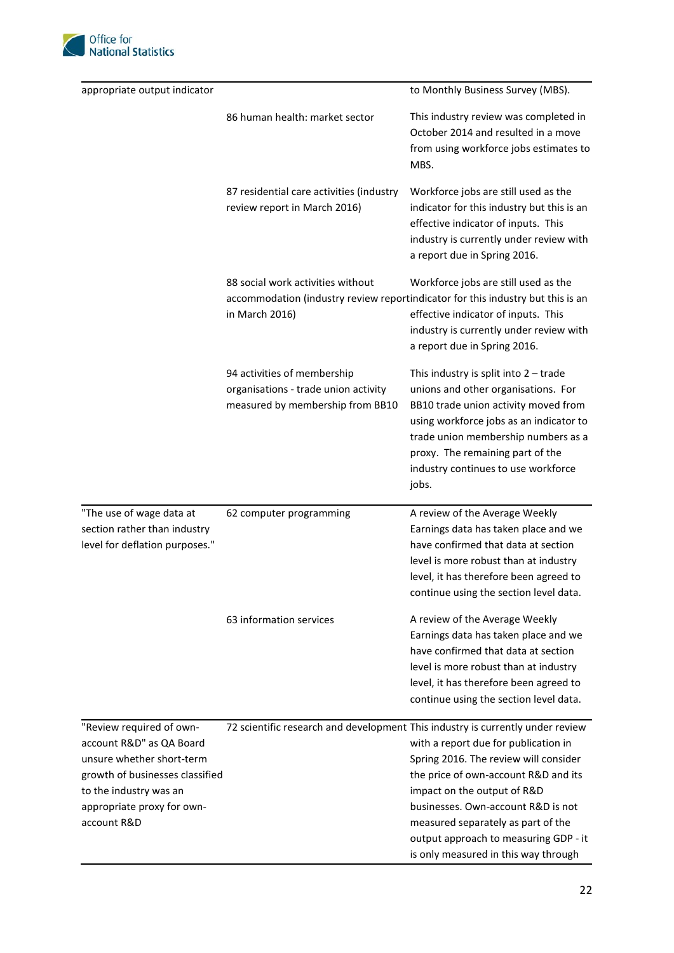

| appropriate output indicator                                                               |                                                                                                         | to Monthly Business Survey (MBS).                                                                                                                                                                                                                                                            |  |  |
|--------------------------------------------------------------------------------------------|---------------------------------------------------------------------------------------------------------|----------------------------------------------------------------------------------------------------------------------------------------------------------------------------------------------------------------------------------------------------------------------------------------------|--|--|
|                                                                                            | 86 human health: market sector                                                                          | This industry review was completed in<br>October 2014 and resulted in a move<br>from using workforce jobs estimates to<br>MBS.                                                                                                                                                               |  |  |
|                                                                                            | 87 residential care activities (industry<br>review report in March 2016)                                | Workforce jobs are still used as the<br>indicator for this industry but this is an<br>effective indicator of inputs. This<br>industry is currently under review with<br>a report due in Spring 2016.                                                                                         |  |  |
|                                                                                            | 88 social work activities without<br>in March 2016)                                                     | Workforce jobs are still used as the<br>accommodation (industry review reportindicator for this industry but this is an<br>effective indicator of inputs. This<br>industry is currently under review with<br>a report due in Spring 2016.                                                    |  |  |
|                                                                                            | 94 activities of membership<br>organisations - trade union activity<br>measured by membership from BB10 | This industry is split into $2 -$ trade<br>unions and other organisations. For<br>BB10 trade union activity moved from<br>using workforce jobs as an indicator to<br>trade union membership numbers as a<br>proxy. The remaining part of the<br>industry continues to use workforce<br>jobs. |  |  |
| "The use of wage data at<br>section rather than industry<br>level for deflation purposes." | 62 computer programming                                                                                 | A review of the Average Weekly<br>Earnings data has taken place and we<br>have confirmed that data at section<br>level is more robust than at industry<br>level, it has therefore been agreed to<br>continue using the section level data.                                                   |  |  |
|                                                                                            | 63 information services                                                                                 | A review of the Average Weekly<br>Earnings data has taken place and we<br>have confirmed that data at section<br>level is more robust than at industry<br>level, it has therefore been agreed to<br>continue using the section level data.                                                   |  |  |
| "Review required of own-                                                                   |                                                                                                         | 72 scientific research and development This industry is currently under review                                                                                                                                                                                                               |  |  |
| account R&D" as QA Board                                                                   |                                                                                                         | with a report due for publication in                                                                                                                                                                                                                                                         |  |  |
| unsure whether short-term                                                                  |                                                                                                         | Spring 2016. The review will consider                                                                                                                                                                                                                                                        |  |  |
| growth of businesses classified                                                            |                                                                                                         | the price of own-account R&D and its                                                                                                                                                                                                                                                         |  |  |
| to the industry was an                                                                     |                                                                                                         | impact on the output of R&D                                                                                                                                                                                                                                                                  |  |  |
| appropriate proxy for own-<br>account R&D                                                  |                                                                                                         | businesses. Own-account R&D is not<br>measured separately as part of the<br>output approach to measuring GDP - it                                                                                                                                                                            |  |  |
|                                                                                            |                                                                                                         | is only measured in this way through                                                                                                                                                                                                                                                         |  |  |